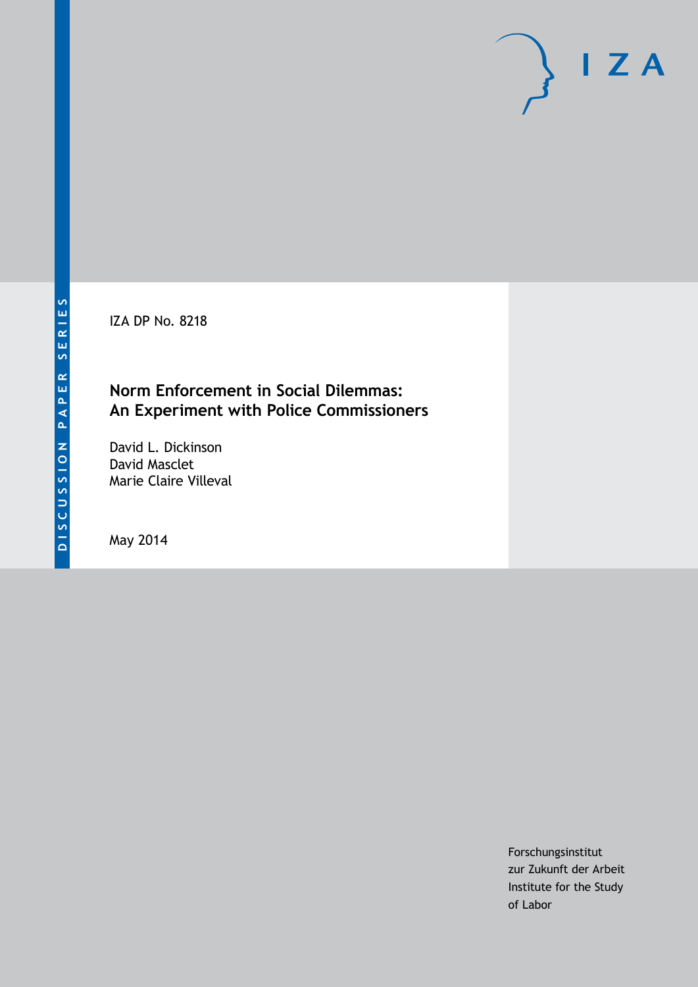IZA DP No. 8218

## **Norm Enforcement in Social Dilemmas: An Experiment with Police Commissioners**

David L. Dickinson David Masclet Marie Claire Villeval

May 2014

Forschungsinstitut zur Zukunft der Arbeit Institute for the Study of Labor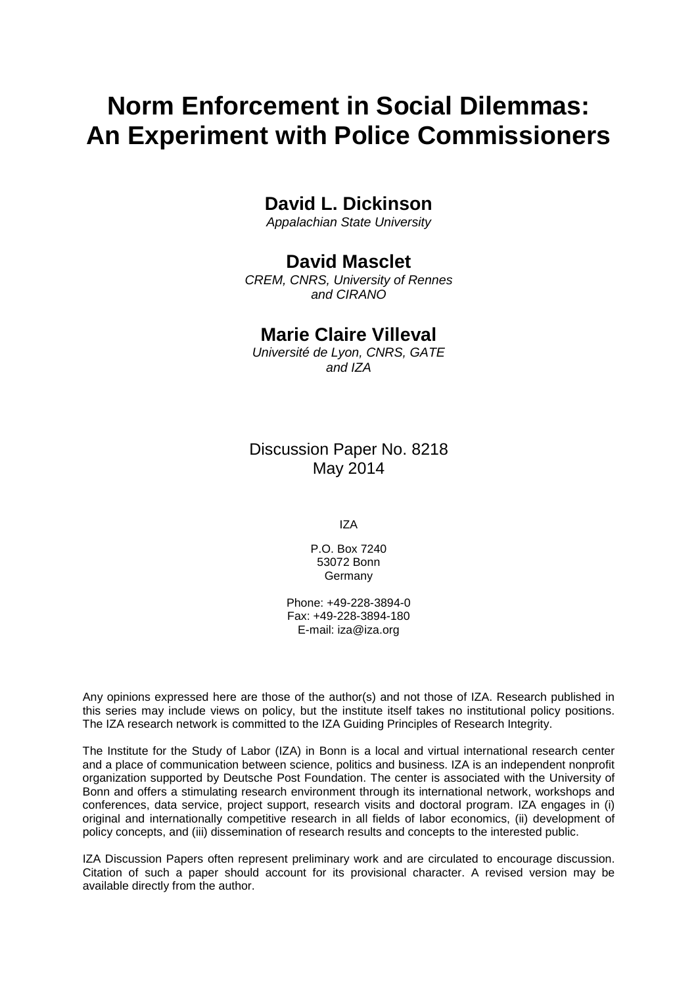# **Norm Enforcement in Social Dilemmas: An Experiment with Police Commissioners**

# **David L. Dickinson**

*Appalachian State University*

## **David Masclet**

*CREM, CNRS, University of Rennes and CIRANO*

### **Marie Claire Villeval**

*Université de Lyon, CNRS, GATE and IZA*

Discussion Paper No. 8218 May 2014

IZA

P.O. Box 7240 53072 Bonn **Germany** 

Phone: +49-228-3894-0 Fax: +49-228-3894-180 E-mail: [iza@iza.org](mailto:iza@iza.org)

Any opinions expressed here are those of the author(s) and not those of IZA. Research published in this series may include views on policy, but the institute itself takes no institutional policy positions. The IZA research network is committed to the IZA Guiding Principles of Research Integrity.

The Institute for the Study of Labor (IZA) in Bonn is a local and virtual international research center and a place of communication between science, politics and business. IZA is an independent nonprofit organization supported by Deutsche Post Foundation. The center is associated with the University of Bonn and offers a stimulating research environment through its international network, workshops and conferences, data service, project support, research visits and doctoral program. IZA engages in (i) original and internationally competitive research in all fields of labor economics, (ii) development of policy concepts, and (iii) dissemination of research results and concepts to the interested public.

<span id="page-1-0"></span>IZA Discussion Papers often represent preliminary work and are circulated to encourage discussion. Citation of such a paper should account for its provisional character. A revised version may be available directly from the author.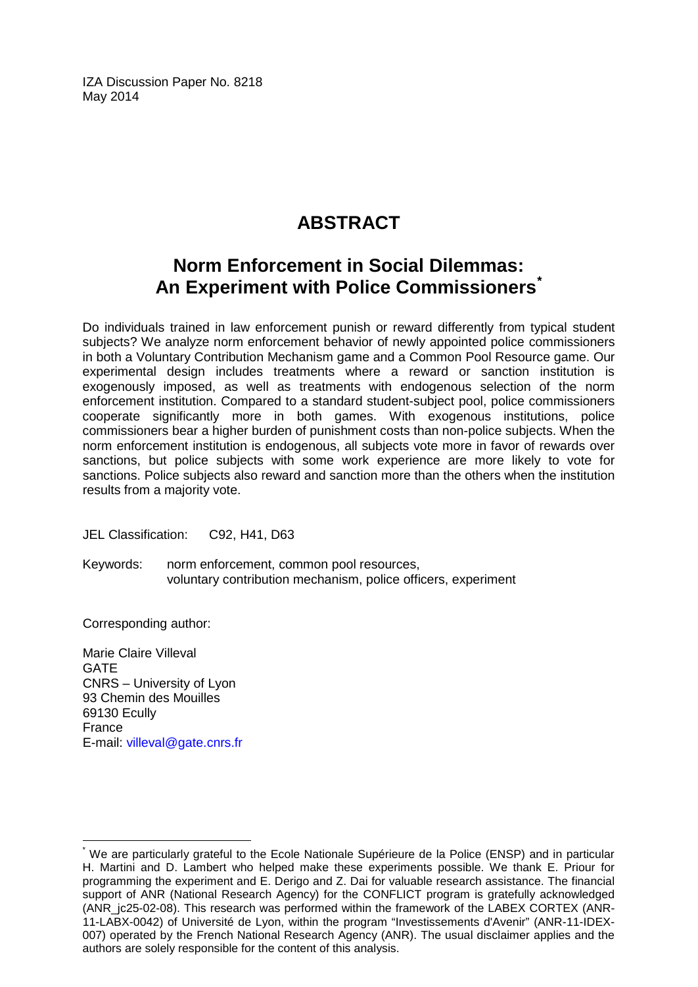IZA Discussion Paper No. 8218 May 2014

# **ABSTRACT**

# **Norm Enforcement in Social Dilemmas: An Experiment with Police Commissioners[\\*](#page-1-0)**

Do individuals trained in law enforcement punish or reward differently from typical student subjects? We analyze norm enforcement behavior of newly appointed police commissioners in both a Voluntary Contribution Mechanism game and a Common Pool Resource game. Our experimental design includes treatments where a reward or sanction institution is exogenously imposed, as well as treatments with endogenous selection of the norm enforcement institution. Compared to a standard student-subject pool, police commissioners cooperate significantly more in both games. With exogenous institutions, police commissioners bear a higher burden of punishment costs than non-police subjects. When the norm enforcement institution is endogenous, all subjects vote more in favor of rewards over sanctions, but police subjects with some work experience are more likely to vote for sanctions. Police subjects also reward and sanction more than the others when the institution results from a majority vote.

JEL Classification: C92, H41, D63

Keywords: norm enforcement, common pool resources, voluntary contribution mechanism, police officers, experiment

Corresponding author:

Marie Claire Villeval **GATE** CNRS – University of Lyon 93 Chemin des Mouilles 69130 Ecully France E-mail: [villeval@gate.cnrs.fr](mailto:villeval@gate.cnrs.fr)

We are particularly grateful to the Ecole Nationale Supérieure de la Police (ENSP) and in particular H. Martini and D. Lambert who helped make these experiments possible. We thank E. Priour for programming the experiment and E. Derigo and Z. Dai for valuable research assistance. The financial support of ANR (National Research Agency) for the CONFLICT program is gratefully acknowledged (ANR ic25-02-08). This research was performed within the framework of the LABEX CORTEX (ANR-11-LABX-0042) of Université de Lyon, within the program "Investissements d'Avenir" (ANR-11-IDEX-007) operated by the French National Research Agency (ANR). The usual disclaimer applies and the authors are solely responsible for the content of this analysis.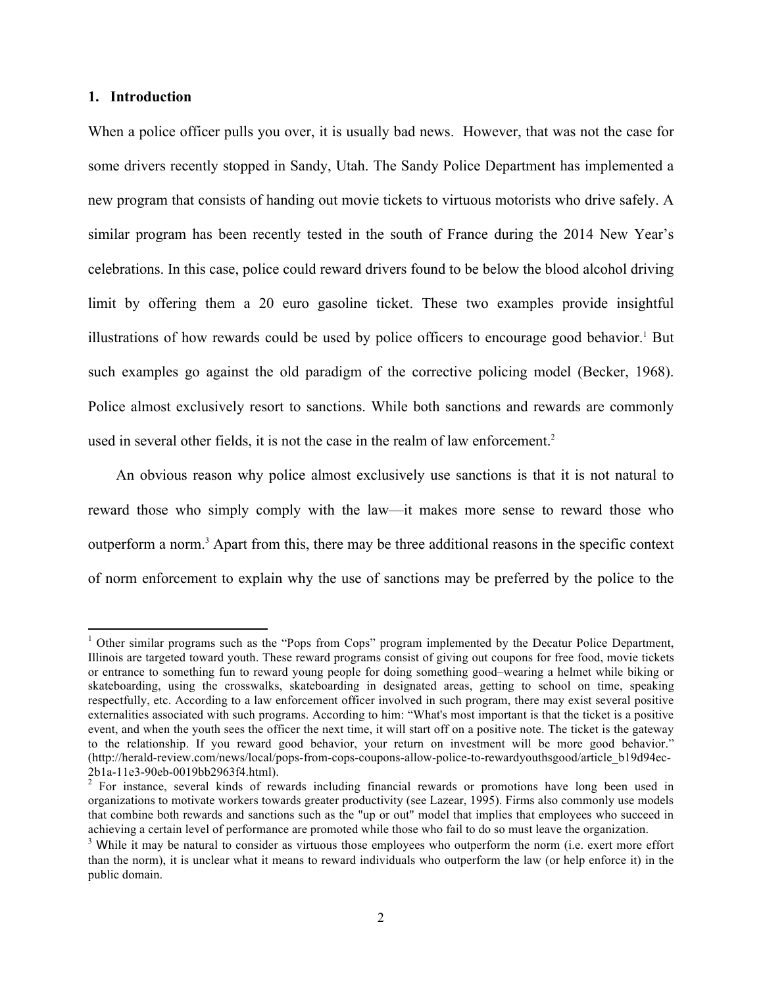#### **1. Introduction**

<u> 1989 - Johann Stein, fransk politiker (d. 1989)</u>

When a police officer pulls you over, it is usually bad news. However, that was not the case for some drivers recently stopped in Sandy, Utah. The Sandy Police Department has implemented a new program that consists of handing out movie tickets to virtuous motorists who drive safely. A similar program has been recently tested in the south of France during the 2014 New Year's celebrations. In this case, police could reward drivers found to be below the blood alcohol driving limit by offering them a 20 euro gasoline ticket. These two examples provide insightful illustrations of how rewards could be used by police officers to encourage good behavior. <sup>1</sup> But such examples go against the old paradigm of the corrective policing model (Becker, 1968). Police almost exclusively resort to sanctions. While both sanctions and rewards are commonly used in several other fields, it is not the case in the realm of law enforcement. 2

An obvious reason why police almost exclusively use sanctions is that it is not natural to reward those who simply comply with the law—it makes more sense to reward those who outperform a norm. <sup>3</sup> Apart from this, there may be three additional reasons in the specific context of norm enforcement to explain why the use of sanctions may be preferred by the police to the

<sup>&</sup>lt;sup>1</sup> Other similar programs such as the "Pops from Cops" program implemented by the Decatur Police Department, Illinois are targeted toward youth. These reward programs consist of giving out coupons for free food, movie tickets or entrance to something fun to reward young people for doing something good–wearing a helmet while biking or skateboarding, using the crosswalks, skateboarding in designated areas, getting to school on time, speaking respectfully, etc. According to a law enforcement officer involved in such program, there may exist several positive externalities associated with such programs. According to him: "What's most important is that the ticket is a positive event, and when the youth sees the officer the next time, it will start off on a positive note. The ticket is the gateway to the relationship. If you reward good behavior, your return on investment will be more good behavior." (http://herald-review.com/news/local/pops-from-cops-coupons-allow-police-to-rewardyouthsgood/article\_b19d94ec-

<sup>2</sup>b1a-11e3-90eb-0019bb2963f4.html). <sup>2</sup> For instance, several kinds of rewards including financial rewards or promotions have long been used in organizations to motivate workers towards greater productivity (see Lazear, 1995). Firms also commonly use models that combine both rewards and sanctions such as the "up or out" model that implies that employees who succeed in achieving a certain level of performance are promoted while those who fail to do so must leave the organization.

<sup>&</sup>lt;sup>3</sup> While it may be natural to consider as virtuous those employees who outperform the norm (i.e. exert more effort than the norm), it is unclear what it means to reward individuals who outperform the law (or help enforce it) in the public domain.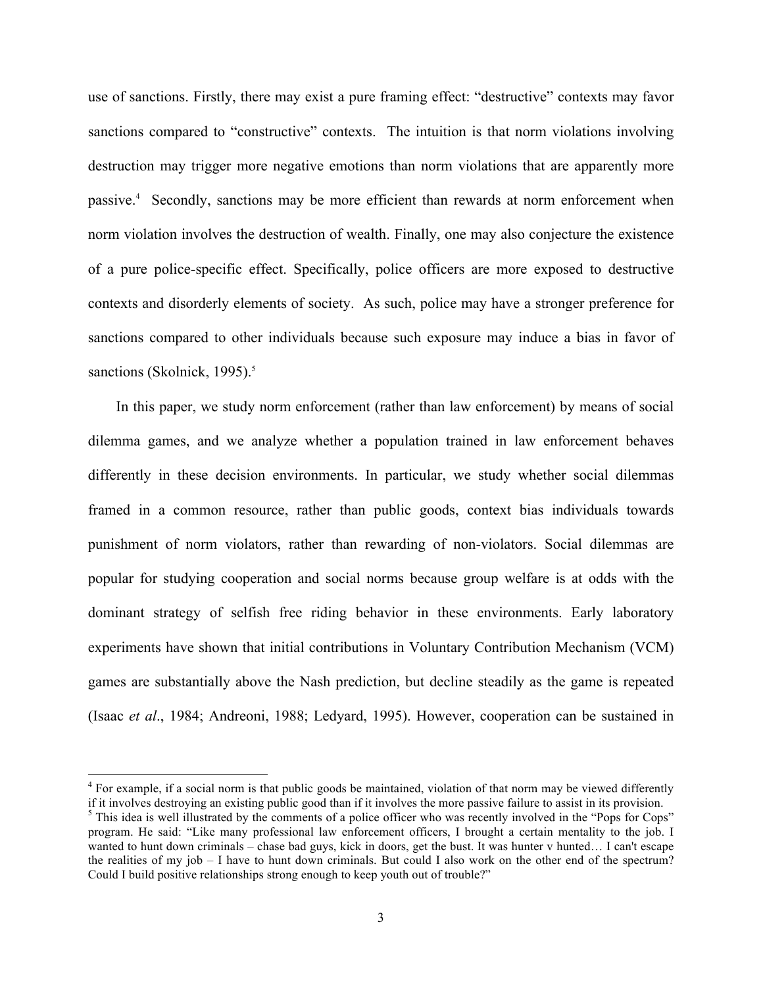use of sanctions. Firstly, there may exist a pure framing effect: "destructive" contexts may favor sanctions compared to "constructive" contexts. The intuition is that norm violations involving destruction may trigger more negative emotions than norm violations that are apparently more passive.4 Secondly, sanctions may be more efficient than rewards at norm enforcement when norm violation involves the destruction of wealth. Finally, one may also conjecture the existence of a pure police-specific effect. Specifically, police officers are more exposed to destructive contexts and disorderly elements of society. As such, police may have a stronger preference for sanctions compared to other individuals because such exposure may induce a bias in favor of sanctions (Skolnick, 1995).<sup>5</sup>

In this paper, we study norm enforcement (rather than law enforcement) by means of social dilemma games, and we analyze whether a population trained in law enforcement behaves differently in these decision environments. In particular, we study whether social dilemmas framed in a common resource, rather than public goods, context bias individuals towards punishment of norm violators, rather than rewarding of non-violators. Social dilemmas are popular for studying cooperation and social norms because group welfare is at odds with the dominant strategy of selfish free riding behavior in these environments. Early laboratory experiments have shown that initial contributions in Voluntary Contribution Mechanism (VCM) games are substantially above the Nash prediction, but decline steadily as the game is repeated (Isaac *et al*., 1984; Andreoni, 1988; Ledyard, 1995). However, cooperation can be sustained in

<sup>&</sup>lt;sup>4</sup> For example, if a social norm is that public goods be maintained, violation of that norm may be viewed differently if it involves destroying an existing public good than if it involves the more passive failure to assist in its provision.

<sup>&</sup>lt;sup>5</sup> This idea is well illustrated by the comments of a police officer who was recently involved in the "Pops for Cops" program. He said: "Like many professional law enforcement officers, I brought a certain mentality to the job. I wanted to hunt down criminals – chase bad guys, kick in doors, get the bust. It was hunter v hunted… I can't escape the realities of my job – I have to hunt down criminals. But could I also work on the other end of the spectrum? Could I build positive relationships strong enough to keep youth out of trouble?"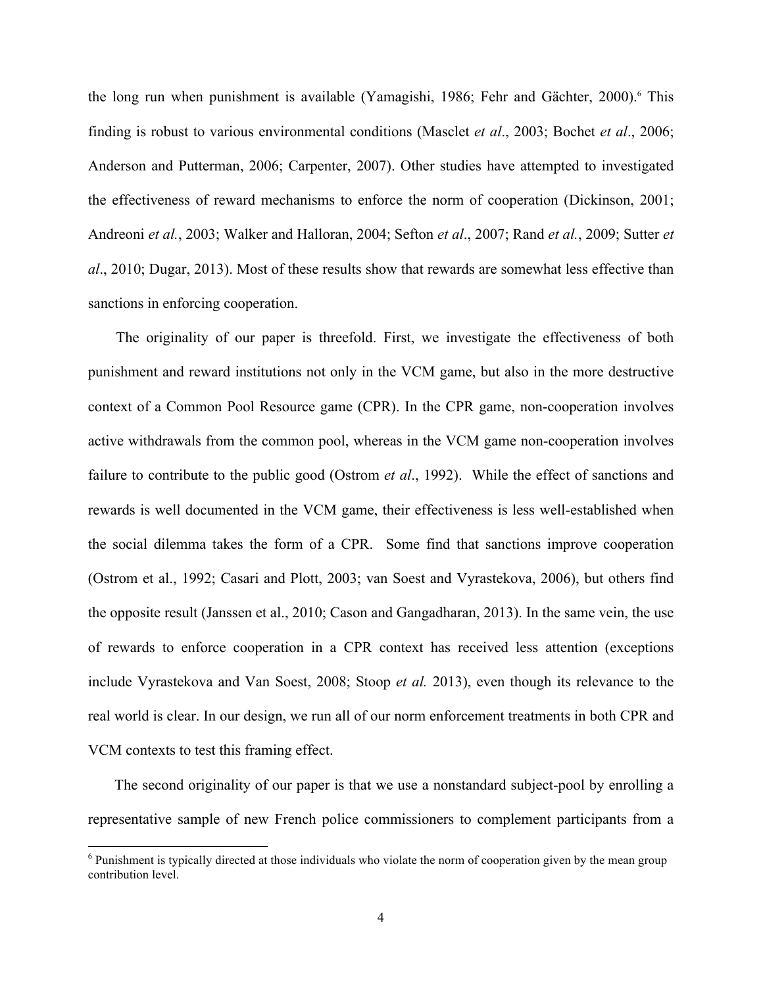the long run when punishment is available (Yamagishi, 1986; Fehr and Gächter, 2000).<sup>6</sup> This finding is robust to various environmental conditions (Masclet *et al*., 2003; Bochet *et al*., 2006; Anderson and Putterman, 2006; Carpenter, 2007). Other studies have attempted to investigated the effectiveness of reward mechanisms to enforce the norm of cooperation (Dickinson, 2001; Andreoni *et al.*, 2003; Walker and Halloran, 2004; Sefton *et al*., 2007; Rand *et al.*, 2009; Sutter *et al*., 2010; Dugar, 2013). Most of these results show that rewards are somewhat less effective than sanctions in enforcing cooperation.

The originality of our paper is threefold. First, we investigate the effectiveness of both punishment and reward institutions not only in the VCM game, but also in the more destructive context of a Common Pool Resource game (CPR). In the CPR game, non-cooperation involves active withdrawals from the common pool, whereas in the VCM game non-cooperation involves failure to contribute to the public good (Ostrom *et al*., 1992). While the effect of sanctions and rewards is well documented in the VCM game, their effectiveness is less well-established when the social dilemma takes the form of a CPR. Some find that sanctions improve cooperation (Ostrom et al., 1992; Casari and Plott, 2003; van Soest and Vyrastekova, 2006), but others find the opposite result (Janssen et al., 2010; Cason and Gangadharan, 2013). In the same vein, the use of rewards to enforce cooperation in a CPR context has received less attention (exceptions include Vyrastekova and Van Soest, 2008; Stoop *et al.* 2013), even though its relevance to the real world is clear. In our design, we run all of our norm enforcement treatments in both CPR and VCM contexts to test this framing effect.

The second originality of our paper is that we use a nonstandard subject-pool by enrolling a representative sample of new French police commissioners to complement participants from a

<u> 1989 - Johann Stein, fransk politiker (d. 1989)</u>

<sup>6</sup> Punishment is typically directed at those individuals who violate the norm of cooperation given by the mean group contribution level.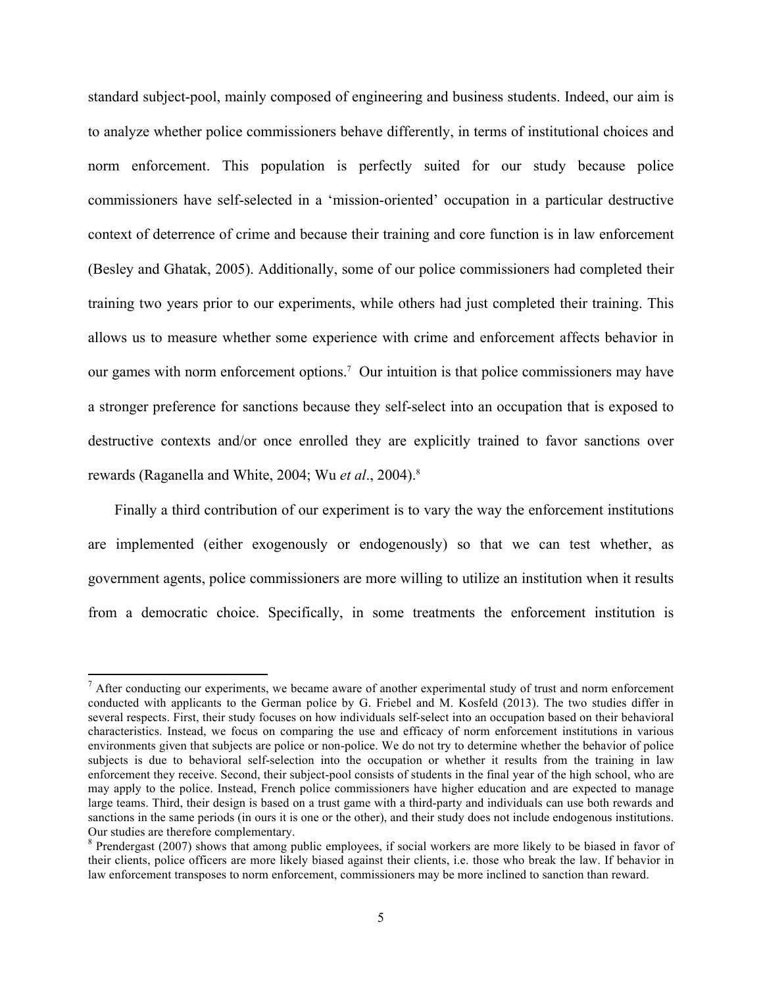standard subject-pool, mainly composed of engineering and business students. Indeed, our aim is to analyze whether police commissioners behave differently, in terms of institutional choices and norm enforcement. This population is perfectly suited for our study because police commissioners have self-selected in a 'mission-oriented' occupation in a particular destructive context of deterrence of crime and because their training and core function is in law enforcement (Besley and Ghatak, 2005). Additionally, some of our police commissioners had completed their training two years prior to our experiments, while others had just completed their training. This allows us to measure whether some experience with crime and enforcement affects behavior in our games with norm enforcement options. 7 Our intuition is that police commissioners may have a stronger preference for sanctions because they self-select into an occupation that is exposed to destructive contexts and/or once enrolled they are explicitly trained to favor sanctions over rewards (Raganella and White, 2004; Wu *et al*., 2004).8

Finally a third contribution of our experiment is to vary the way the enforcement institutions are implemented (either exogenously or endogenously) so that we can test whether, as government agents, police commissioners are more willing to utilize an institution when it results from a democratic choice. Specifically, in some treatments the enforcement institution is

<u> 1989 - Johann Stein, fransk politiker (d. 1989)</u>

 $<sup>7</sup>$  After conducting our experiments, we became aware of another experimental study of trust and norm enforcement</sup> conducted with applicants to the German police by G. Friebel and M. Kosfeld (2013). The two studies differ in several respects. First, their study focuses on how individuals self-select into an occupation based on their behavioral characteristics. Instead, we focus on comparing the use and efficacy of norm enforcement institutions in various environments given that subjects are police or non-police. We do not try to determine whether the behavior of police subjects is due to behavioral self-selection into the occupation or whether it results from the training in law enforcement they receive. Second, their subject-pool consists of students in the final year of the high school, who are may apply to the police. Instead, French police commissioners have higher education and are expected to manage large teams. Third, their design is based on a trust game with a third-party and individuals can use both rewards and sanctions in the same periods (in ours it is one or the other), and their study does not include endogenous institutions. Our studies are therefore complementary.

<sup>&</sup>lt;sup>8</sup> Prendergast (2007) shows that among public employees, if social workers are more likely to be biased in favor of their clients, police officers are more likely biased against their clients, i.e. those who break the law. If behavior in law enforcement transposes to norm enforcement, commissioners may be more inclined to sanction than reward.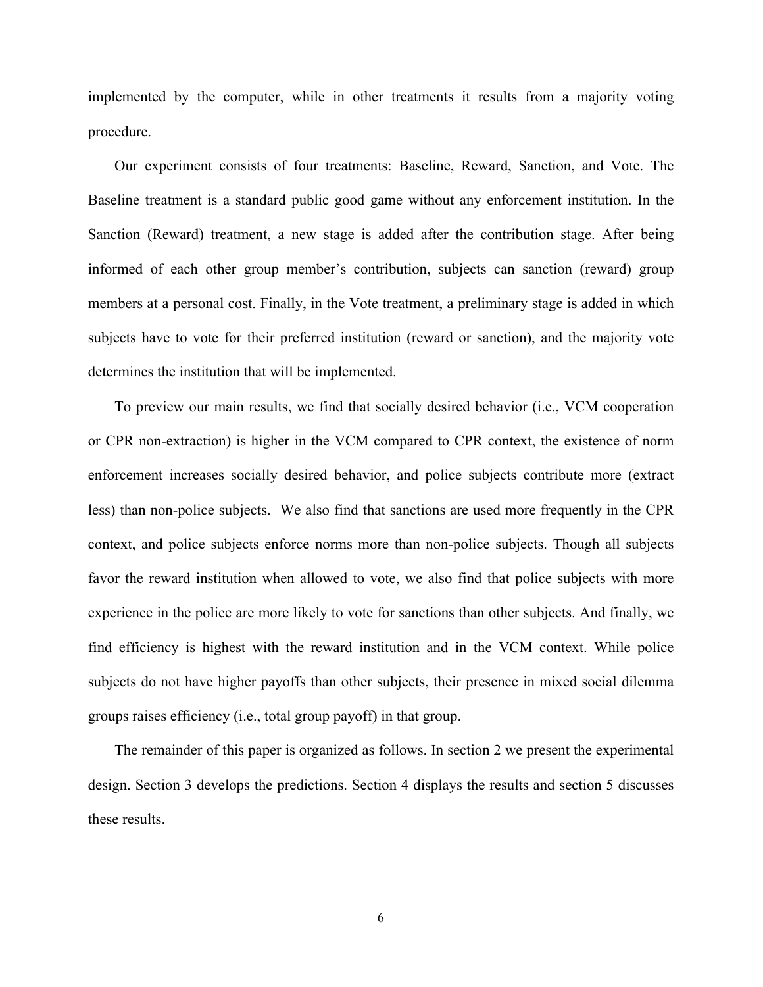implemented by the computer, while in other treatments it results from a majority voting procedure.

Our experiment consists of four treatments: Baseline, Reward, Sanction, and Vote. The Baseline treatment is a standard public good game without any enforcement institution. In the Sanction (Reward) treatment, a new stage is added after the contribution stage. After being informed of each other group member's contribution, subjects can sanction (reward) group members at a personal cost. Finally, in the Vote treatment, a preliminary stage is added in which subjects have to vote for their preferred institution (reward or sanction), and the majority vote determines the institution that will be implemented.

To preview our main results, we find that socially desired behavior (i.e., VCM cooperation or CPR non-extraction) is higher in the VCM compared to CPR context, the existence of norm enforcement increases socially desired behavior, and police subjects contribute more (extract less) than non-police subjects. We also find that sanctions are used more frequently in the CPR context, and police subjects enforce norms more than non-police subjects. Though all subjects favor the reward institution when allowed to vote, we also find that police subjects with more experience in the police are more likely to vote for sanctions than other subjects. And finally, we find efficiency is highest with the reward institution and in the VCM context. While police subjects do not have higher payoffs than other subjects, their presence in mixed social dilemma groups raises efficiency (i.e., total group payoff) in that group.

The remainder of this paper is organized as follows. In section 2 we present the experimental design. Section 3 develops the predictions. Section 4 displays the results and section 5 discusses these results.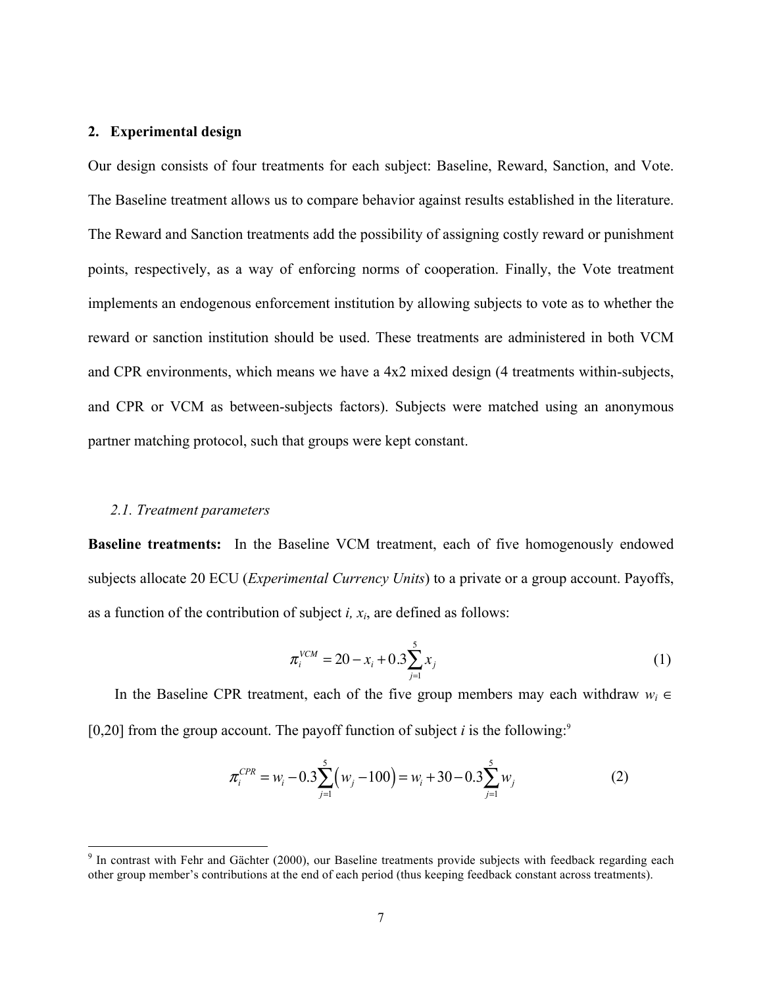#### **2. Experimental design**

Our design consists of four treatments for each subject: Baseline, Reward, Sanction, and Vote. The Baseline treatment allows us to compare behavior against results established in the literature. The Reward and Sanction treatments add the possibility of assigning costly reward or punishment points, respectively, as a way of enforcing norms of cooperation. Finally, the Vote treatment implements an endogenous enforcement institution by allowing subjects to vote as to whether the reward or sanction institution should be used. These treatments are administered in both VCM and CPR environments, which means we have a 4x2 mixed design (4 treatments within-subjects, and CPR or VCM as between-subjects factors). Subjects were matched using an anonymous partner matching protocol, such that groups were kept constant.

#### *2.1. Treatment parameters*

<u> 1989 - Johann Stein, fransk politiker (d. 1989)</u>

**Baseline treatments:** In the Baseline VCM treatment, each of five homogenously endowed subjects allocate 20 ECU (*Experimental Currency Units*) to a private or a group account. Payoffs, as a function of the contribution of subject  $i$ ,  $x_i$ , are defined as follows:

$$
\pi_i^{VCM} = 20 - x_i + 0.3 \sum_{j=1}^{5} x_j
$$
 (1)

In the Baseline CPR treatment, each of the five group members may each withdraw *wi* ∈  $[0,20]$  from the group account. The payoff function of subject *i* is the following:<sup>9</sup>

$$
\pi_i^{CPR} = w_i - 0.3 \sum_{j=1}^5 \left( w_j - 100 \right) = w_i + 30 - 0.3 \sum_{j=1}^5 w_j \tag{2}
$$

<sup>&</sup>lt;sup>9</sup> In contrast with Fehr and Gächter (2000), our Baseline treatments provide subjects with feedback regarding each other group member's contributions at the end of each period (thus keeping feedback constant across treatments).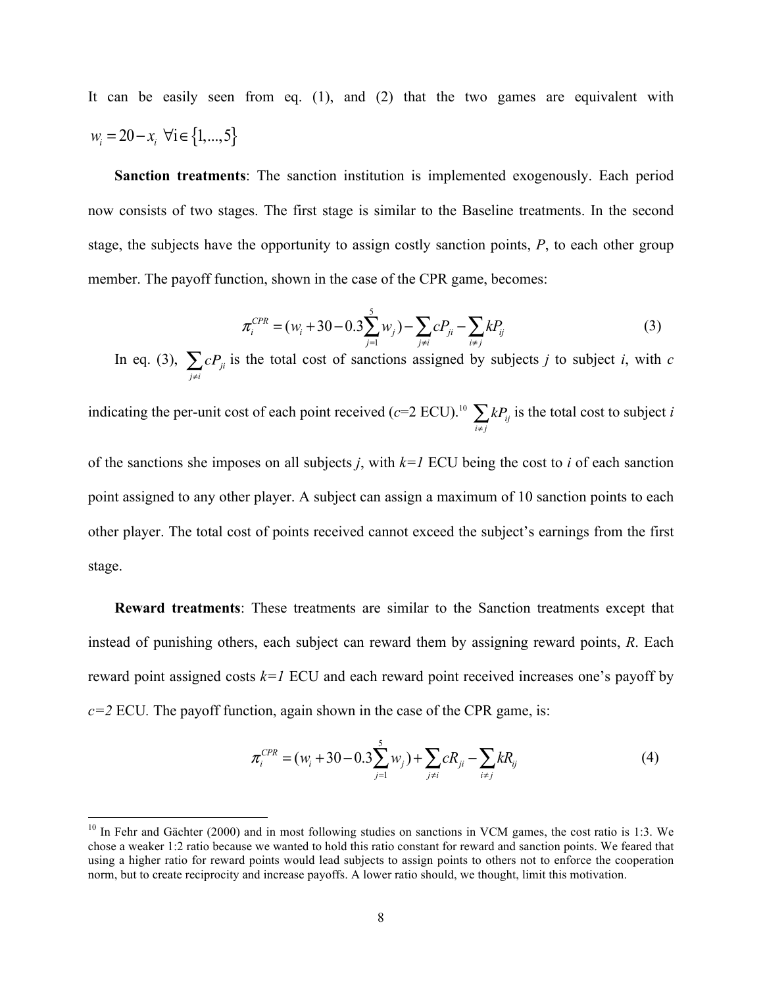It can be easily seen from eq. (1), and (2) that the two games are equivalent with  $w_i = 20 - x_i \; \forall i \in \{1, ..., 5\}$ 

**Sanction treatments**: The sanction institution is implemented exogenously. Each period now consists of two stages. The first stage is similar to the Baseline treatments. In the second stage, the subjects have the opportunity to assign costly sanction points, *P*, to each other group member. The payoff function, shown in the case of the CPR game, becomes:

$$
\pi_i^{CPR} = (w_i + 30 - 0.3 \sum_{j=1}^{5} w_j) - \sum_{j \neq i} c P_{ji} - \sum_{i \neq j} k P_{ij}
$$
(3)

In eq. (3),  $\sum cP_{ji}$  $\sum_{j \neq i} c P_{ji}$  is the total cost of sanctions assigned by subjects *j* to subject *i*, with *c* 

indicating the per-unit cost of each point received ( $c$ =2 ECU).<sup>10</sup>  $\sum kP_{ij}$  $\sum_{i \neq j} k P_{ij}$  is the total cost to subject *i* 

of the sanctions she imposes on all subjects *j*, with *k=1* ECU being the cost to *i* of each sanction point assigned to any other player. A subject can assign a maximum of 10 sanction points to each other player. The total cost of points received cannot exceed the subject's earnings from the first stage.

**Reward treatments**: These treatments are similar to the Sanction treatments except that instead of punishing others, each subject can reward them by assigning reward points, *R*. Each reward point assigned costs *k=1* ECU and each reward point received increases one's payoff by  $c=2$  ECU. The payoff function, again shown in the case of the CPR game, is:

$$
\pi_i^{CPR} = (w_i + 30 - 0.3 \sum_{j=1}^5 w_j) + \sum_{j \neq i} cR_{ji} - \sum_{i \neq j} kR_{ij}
$$
(4)

<u> 1989 - Johann Stein, fransk politiker (d. 1989)</u>

 $10$  In Fehr and Gächter (2000) and in most following studies on sanctions in VCM games, the cost ratio is 1:3. We chose a weaker 1:2 ratio because we wanted to hold this ratio constant for reward and sanction points. We feared that using a higher ratio for reward points would lead subjects to assign points to others not to enforce the cooperation norm, but to create reciprocity and increase payoffs. A lower ratio should, we thought, limit this motivation.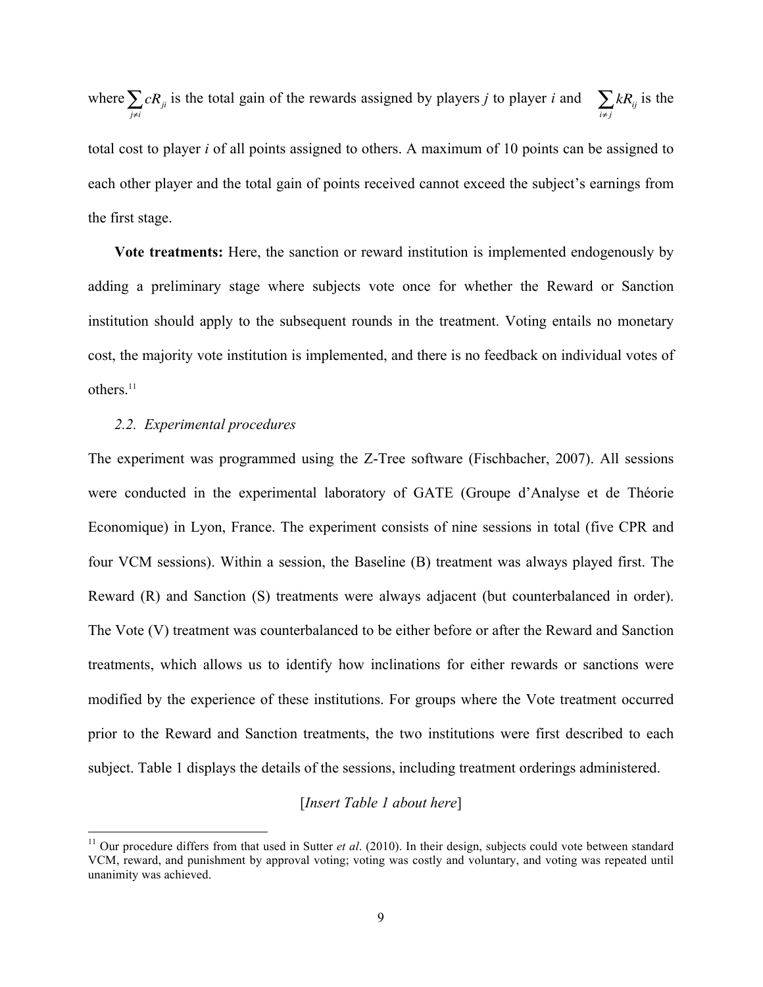where  $\sum cR_{ji}$  $\sum_{j \neq i} cR_{ji}$  is the total gain of the rewards assigned by players *j* to player *i* and  $\sum_{i \neq j} kR_{ij}$  is the

total cost to player *i* of all points assigned to others. A maximum of 10 points can be assigned to each other player and the total gain of points received cannot exceed the subject's earnings from the first stage.

**Vote treatments:** Here, the sanction or reward institution is implemented endogenously by adding a preliminary stage where subjects vote once for whether the Reward or Sanction institution should apply to the subsequent rounds in the treatment. Voting entails no monetary cost, the majority vote institution is implemented, and there is no feedback on individual votes of others. 11

#### *2.2. Experimental procedures*

 

The experiment was programmed using the Z-Tree software (Fischbacher, 2007). All sessions were conducted in the experimental laboratory of GATE (Groupe d'Analyse et de Théorie Economique) in Lyon, France. The experiment consists of nine sessions in total (five CPR and four VCM sessions). Within a session, the Baseline (B) treatment was always played first. The Reward (R) and Sanction (S) treatments were always adjacent (but counterbalanced in order). The Vote (V) treatment was counterbalanced to be either before or after the Reward and Sanction treatments, which allows us to identify how inclinations for either rewards or sanctions were modified by the experience of these institutions. For groups where the Vote treatment occurred prior to the Reward and Sanction treatments, the two institutions were first described to each subject. Table 1 displays the details of the sessions, including treatment orderings administered.

#### [*Insert Table 1 about here*]

<sup>&</sup>lt;sup>11</sup> Our procedure differs from that used in Sutter *et al.* (2010). In their design, subjects could vote between standard VCM, reward, and punishment by approval voting; voting was costly and voluntary, and voting was repeated until unanimity was achieved.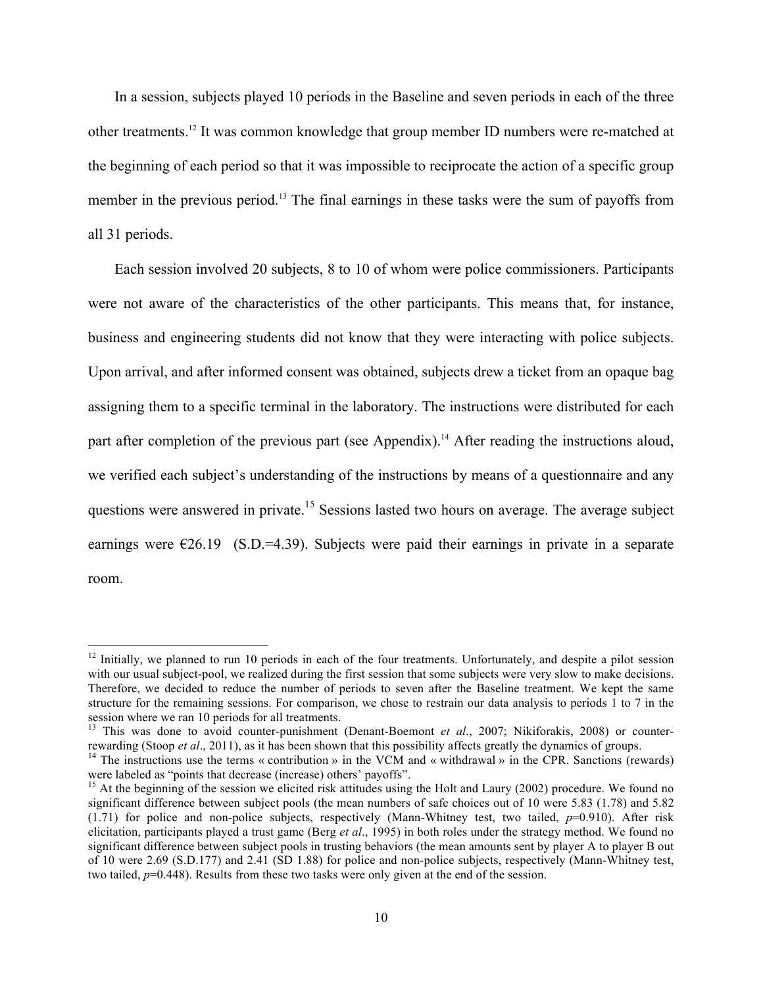In a session, subjects played 10 periods in the Baseline and seven periods in each of the three other treatments.12 It was common knowledge that group member ID numbers were re-matched at the beginning of each period so that it was impossible to reciprocate the action of a specific group member in the previous period.<sup>13</sup> The final earnings in these tasks were the sum of payoffs from all 31 periods.

Each session involved 20 subjects, 8 to 10 of whom were police commissioners. Participants were not aware of the characteristics of the other participants. This means that, for instance, business and engineering students did not know that they were interacting with police subjects. Upon arrival, and after informed consent was obtained, subjects drew a ticket from an opaque bag assigning them to a specific terminal in the laboratory. The instructions were distributed for each part after completion of the previous part (see Appendix).<sup>14</sup> After reading the instructions aloud, we verified each subject's understanding of the instructions by means of a questionnaire and any questions were answered in private.<sup>15</sup> Sessions lasted two hours on average. The average subject earnings were  $\epsilon$ 26.19 (S.D.=4.39). Subjects were paid their earnings in private in a separate room.

<u> 1989 - Johann Stein, fransk politiker (d. 1989)</u>

 $12$  Initially, we planned to run 10 periods in each of the four treatments. Unfortunately, and despite a pilot session with our usual subject-pool, we realized during the first session that some subjects were very slow to make decisions. Therefore, we decided to reduce the number of periods to seven after the Baseline treatment. We kept the same structure for the remaining sessions. For comparison, we chose to restrain our data analysis to periods 1 to 7 in the session where we ran 10 periods for all treatments.

<sup>&</sup>lt;sup>13</sup> This was done to avoid counter-punishment (Denant-Boemont *et al.*, 2007; Nikiforakis, 2008) or counterrewarding (Stoop *et al.*, 2011), as it has been shown that this possibility affects greatly the dynamics of groups.<br><sup>14</sup> The instructions use the terms « contribution » in the VCM and « withdrawal » in the CPR. Sanctions

were labeled as "points that decrease (increase) others' payoffs".

<sup>&</sup>lt;sup>15</sup> At the beginning of the session we elicited risk attitudes using the Holt and Laury (2002) procedure. We found no significant difference between subject pools (the mean numbers of safe choices out of 10 were 5.83 (1.78) and 5.82  $(1.71)$  for police and non-police subjects, respectively (Mann-Whitney test, two tailed,  $p=0.910$ ). After risk elicitation, participants played a trust game (Berg *et al*., 1995) in both roles under the strategy method. We found no significant difference between subject pools in trusting behaviors (the mean amounts sent by player A to player B out of 10 were 2.69 (S.D.177) and 2.41 (SD 1.88) for police and non-police subjects, respectively (Mann-Whitney test, two tailed,  $p=0.448$ ). Results from these two tasks were only given at the end of the session.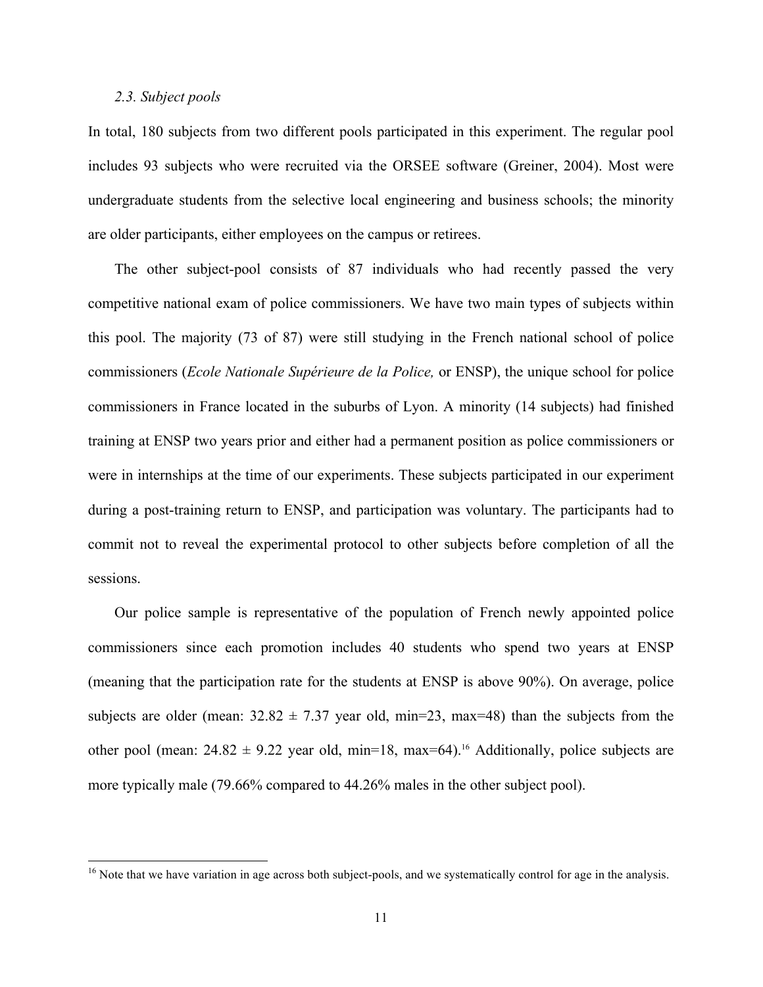#### *2.3. Subject pools*

<u> 1989 - Johann Stein, fransk politiker (d. 1989)</u>

In total, 180 subjects from two different pools participated in this experiment. The regular pool includes 93 subjects who were recruited via the ORSEE software (Greiner, 2004). Most were undergraduate students from the selective local engineering and business schools; the minority are older participants, either employees on the campus or retirees.

The other subject-pool consists of 87 individuals who had recently passed the very competitive national exam of police commissioners. We have two main types of subjects within this pool. The majority (73 of 87) were still studying in the French national school of police commissioners (*Ecole Nationale Supérieure de la Police,* or ENSP), the unique school for police commissioners in France located in the suburbs of Lyon. A minority (14 subjects) had finished training at ENSP two years prior and either had a permanent position as police commissioners or were in internships at the time of our experiments. These subjects participated in our experiment during a post-training return to ENSP, and participation was voluntary. The participants had to commit not to reveal the experimental protocol to other subjects before completion of all the sessions.

Our police sample is representative of the population of French newly appointed police commissioners since each promotion includes 40 students who spend two years at ENSP (meaning that the participation rate for the students at ENSP is above 90%). On average, police subjects are older (mean:  $32.82 \pm 7.37$  year old, min=23, max=48) than the subjects from the other pool (mean:  $24.82 \pm 9.22$  year old, min=18, max=64).<sup>16</sup> Additionally, police subjects are more typically male (79.66% compared to 44.26% males in the other subject pool).

 $16$  Note that we have variation in age across both subject-pools, and we systematically control for age in the analysis.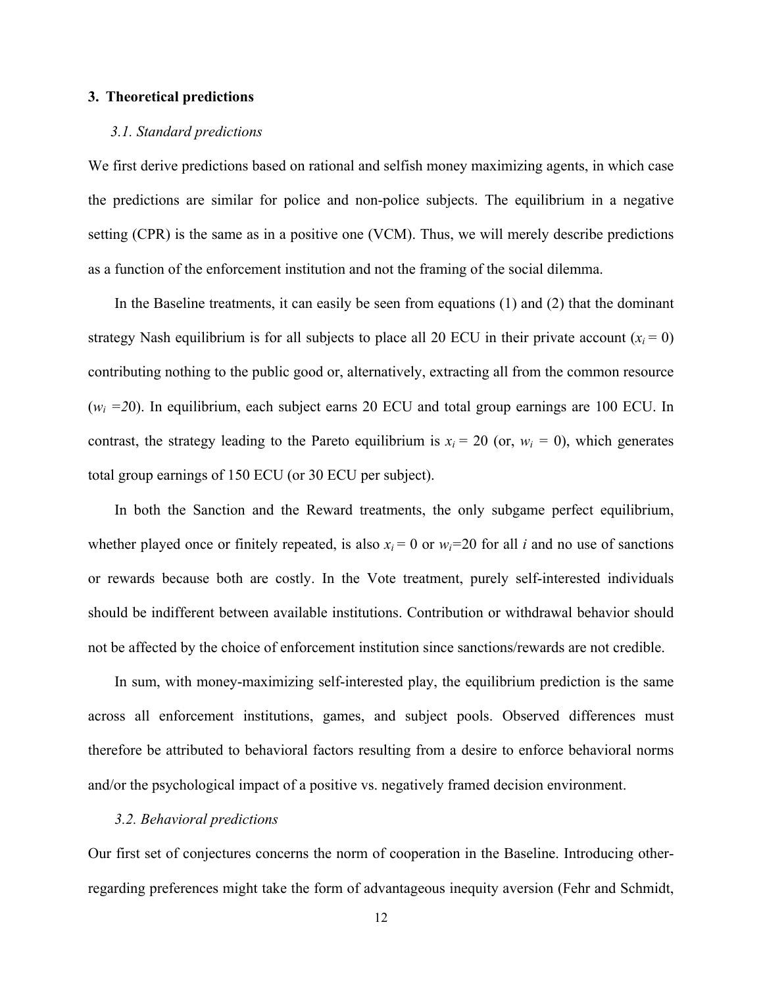#### **3. Theoretical predictions**

#### *3.1. Standard predictions*

We first derive predictions based on rational and selfish money maximizing agents, in which case the predictions are similar for police and non-police subjects. The equilibrium in a negative setting (CPR) is the same as in a positive one (VCM). Thus, we will merely describe predictions as a function of the enforcement institution and not the framing of the social dilemma.

In the Baseline treatments, it can easily be seen from equations (1) and (2) that the dominant strategy Nash equilibrium is for all subjects to place all 20 ECU in their private account  $(x<sub>i</sub> = 0)$ contributing nothing to the public good or, alternatively, extracting all from the common resource  $(w<sub>i</sub> = 20)$ . In equilibrium, each subject earns 20 ECU and total group earnings are 100 ECU. In contrast, the strategy leading to the Pareto equilibrium is  $x_i = 20$  (or,  $w_i = 0$ ), which generates total group earnings of 150 ECU (or 30 ECU per subject).

In both the Sanction and the Reward treatments, the only subgame perfect equilibrium, whether played once or finitely repeated, is also  $x_i = 0$  or  $w_i = 20$  for all *i* and no use of sanctions or rewards because both are costly. In the Vote treatment, purely self-interested individuals should be indifferent between available institutions. Contribution or withdrawal behavior should not be affected by the choice of enforcement institution since sanctions/rewards are not credible.

In sum, with money-maximizing self-interested play, the equilibrium prediction is the same across all enforcement institutions, games, and subject pools. Observed differences must therefore be attributed to behavioral factors resulting from a desire to enforce behavioral norms and/or the psychological impact of a positive vs. negatively framed decision environment.

#### *3.2. Behavioral predictions*

Our first set of conjectures concerns the norm of cooperation in the Baseline. Introducing otherregarding preferences might take the form of advantageous inequity aversion (Fehr and Schmidt,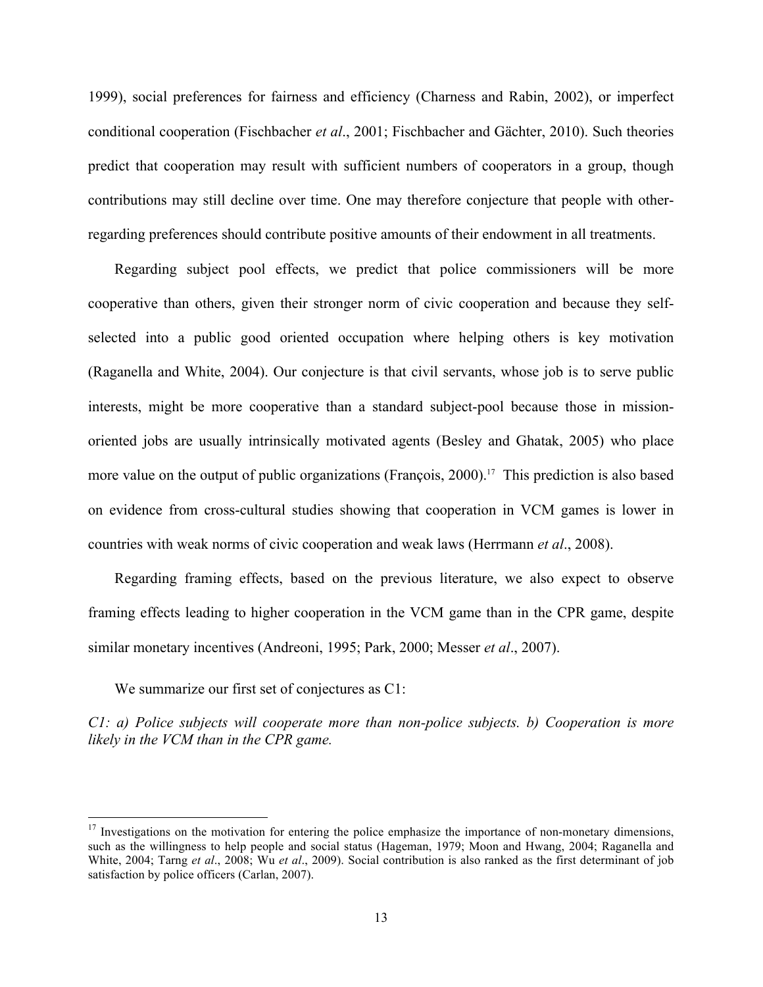1999), social preferences for fairness and efficiency (Charness and Rabin, 2002), or imperfect conditional cooperation (Fischbacher *et al*., 2001; Fischbacher and Gächter, 2010). Such theories predict that cooperation may result with sufficient numbers of cooperators in a group, though contributions may still decline over time. One may therefore conjecture that people with otherregarding preferences should contribute positive amounts of their endowment in all treatments.

Regarding subject pool effects, we predict that police commissioners will be more cooperative than others, given their stronger norm of civic cooperation and because they selfselected into a public good oriented occupation where helping others is key motivation (Raganella and White, 2004). Our conjecture is that civil servants, whose job is to serve public interests, might be more cooperative than a standard subject-pool because those in missionoriented jobs are usually intrinsically motivated agents (Besley and Ghatak, 2005) who place more value on the output of public organizations (François, 2000).<sup>17</sup> This prediction is also based on evidence from cross-cultural studies showing that cooperation in VCM games is lower in countries with weak norms of civic cooperation and weak laws (Herrmann *et al*., 2008).

Regarding framing effects, based on the previous literature, we also expect to observe framing effects leading to higher cooperation in the VCM game than in the CPR game, despite similar monetary incentives (Andreoni, 1995; Park, 2000; Messer *et al*., 2007).

We summarize our first set of conjectures as C1:

<u> 1989 - Johann Stein, fransk politiker (d. 1989)</u>

*C1: a) Police subjects will cooperate more than non-police subjects. b) Cooperation is more likely in the VCM than in the CPR game.*

 $17$  Investigations on the motivation for entering the police emphasize the importance of non-monetary dimensions, such as the willingness to help people and social status (Hageman, 1979; Moon and Hwang, 2004; Raganella and White, 2004; Tarng *et al*., 2008; Wu *et al*., 2009). Social contribution is also ranked as the first determinant of job satisfaction by police officers (Carlan, 2007).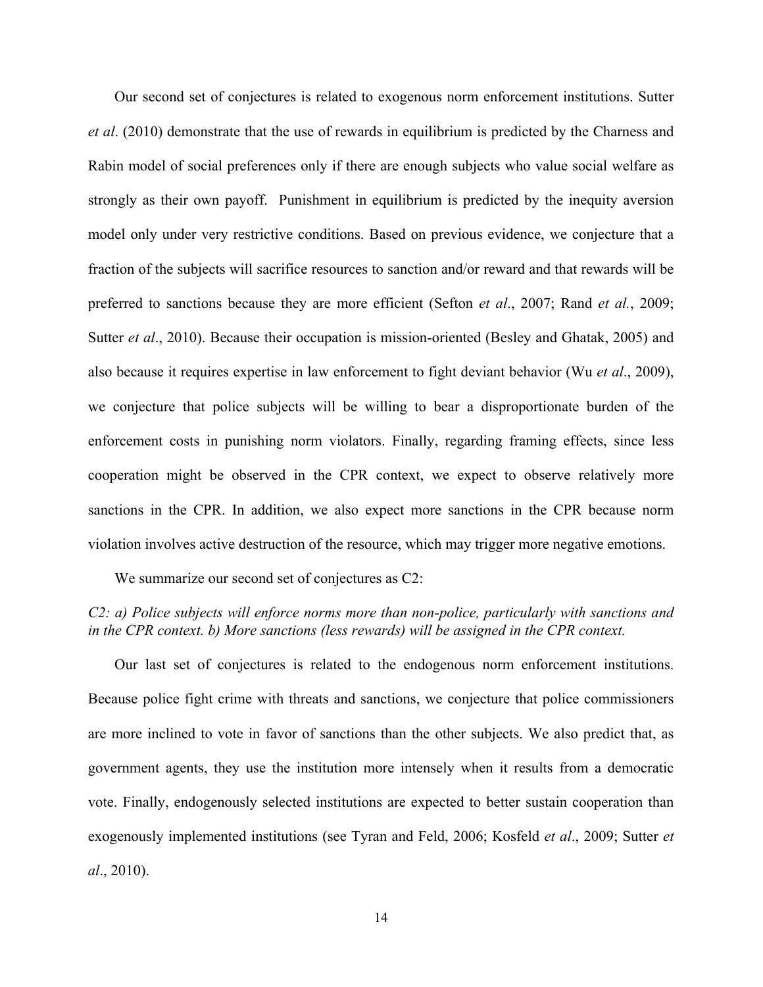Our second set of conjectures is related to exogenous norm enforcement institutions. Sutter *et al*. (2010) demonstrate that the use of rewards in equilibrium is predicted by the Charness and Rabin model of social preferences only if there are enough subjects who value social welfare as strongly as their own payoff. Punishment in equilibrium is predicted by the inequity aversion model only under very restrictive conditions. Based on previous evidence, we conjecture that a fraction of the subjects will sacrifice resources to sanction and/or reward and that rewards will be preferred to sanctions because they are more efficient (Sefton *et al*., 2007; Rand *et al.*, 2009; Sutter *et al*., 2010). Because their occupation is mission-oriented (Besley and Ghatak, 2005) and also because it requires expertise in law enforcement to fight deviant behavior (Wu *et al*., 2009), we conjecture that police subjects will be willing to bear a disproportionate burden of the enforcement costs in punishing norm violators. Finally, regarding framing effects, since less cooperation might be observed in the CPR context, we expect to observe relatively more sanctions in the CPR. In addition, we also expect more sanctions in the CPR because norm violation involves active destruction of the resource, which may trigger more negative emotions.

We summarize our second set of conjectures as  $C2$ :

#### *C2: a) Police subjects will enforce norms more than non-police, particularly with sanctions and in the CPR context. b) More sanctions (less rewards) will be assigned in the CPR context.*

Our last set of conjectures is related to the endogenous norm enforcement institutions. Because police fight crime with threats and sanctions, we conjecture that police commissioners are more inclined to vote in favor of sanctions than the other subjects. We also predict that, as government agents, they use the institution more intensely when it results from a democratic vote. Finally, endogenously selected institutions are expected to better sustain cooperation than exogenously implemented institutions (see Tyran and Feld, 2006; Kosfeld *et al*., 2009; Sutter *et al*., 2010).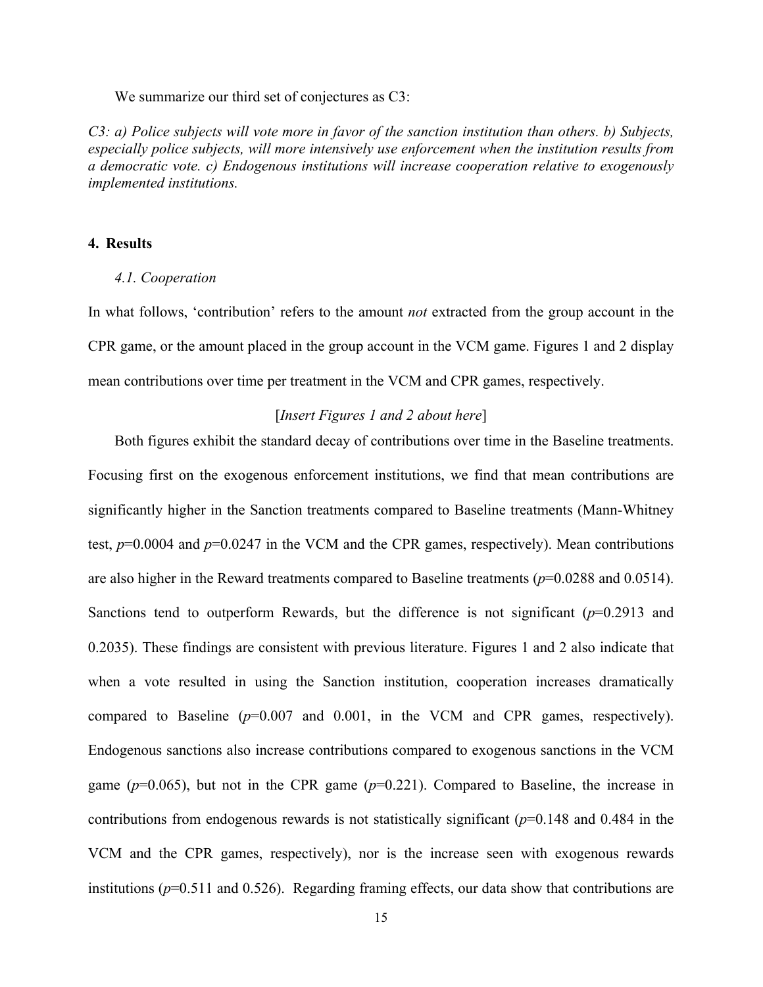We summarize our third set of conjectures as C3:

*C3: a) Police subjects will vote more in favor of the sanction institution than others. b) Subjects, especially police subjects, will more intensively use enforcement when the institution results from a democratic vote. c) Endogenous institutions will increase cooperation relative to exogenously implemented institutions.*

#### **4. Results**

#### *4.1. Cooperation*

In what follows, 'contribution' refers to the amount *not* extracted from the group account in the CPR game, or the amount placed in the group account in the VCM game. Figures 1 and 2 display mean contributions over time per treatment in the VCM and CPR games, respectively.

#### [*Insert Figures 1 and 2 about here*]

Both figures exhibit the standard decay of contributions over time in the Baseline treatments. Focusing first on the exogenous enforcement institutions, we find that mean contributions are significantly higher in the Sanction treatments compared to Baseline treatments (Mann-Whitney test,  $p=0.0004$  and  $p=0.0247$  in the VCM and the CPR games, respectively). Mean contributions are also higher in the Reward treatments compared to Baseline treatments (*p*=0.0288 and 0.0514). Sanctions tend to outperform Rewards, but the difference is not significant (*p*=0.2913 and 0.2035). These findings are consistent with previous literature. Figures 1 and 2 also indicate that when a vote resulted in using the Sanction institution, cooperation increases dramatically compared to Baseline (*p*=0.007 and 0.001, in the VCM and CPR games, respectively). Endogenous sanctions also increase contributions compared to exogenous sanctions in the VCM game ( $p=0.065$ ), but not in the CPR game ( $p=0.221$ ). Compared to Baseline, the increase in contributions from endogenous rewards is not statistically significant (*p*=0.148 and 0.484 in the VCM and the CPR games, respectively), nor is the increase seen with exogenous rewards institutions (*p*=0.511 and 0.526). Regarding framing effects, our data show that contributions are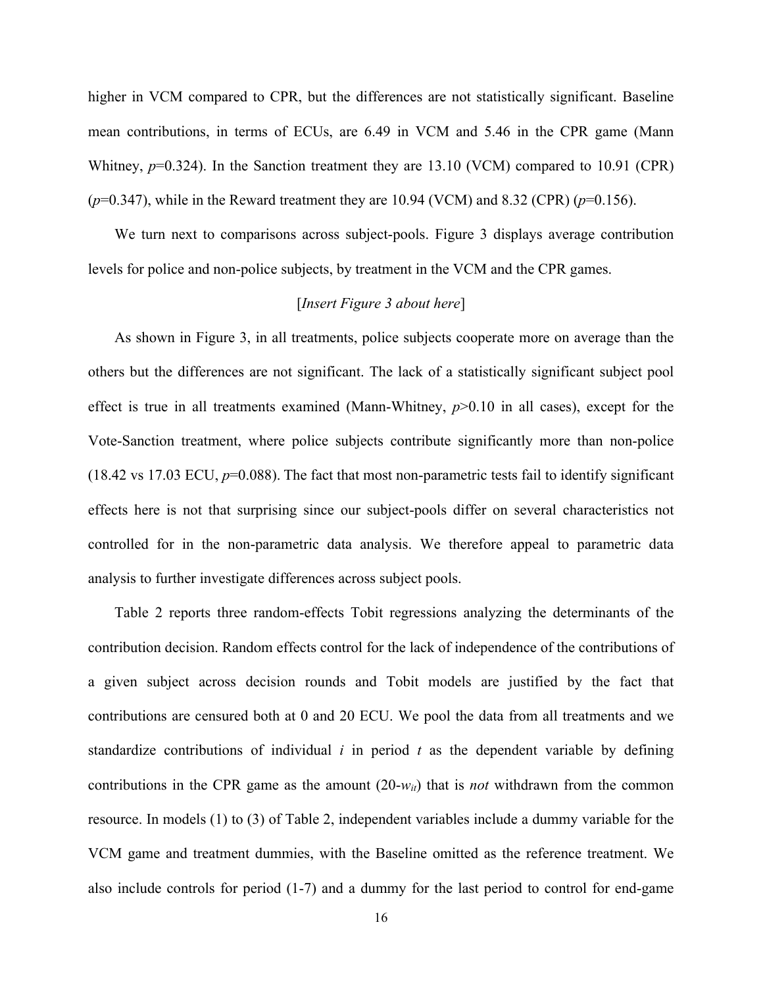higher in VCM compared to CPR, but the differences are not statistically significant. Baseline mean contributions, in terms of ECUs, are 6.49 in VCM and 5.46 in the CPR game (Mann Whitney,  $p=0.324$ ). In the Sanction treatment they are 13.10 (VCM) compared to 10.91 (CPR)  $(p=0.347)$ , while in the Reward treatment they are 10.94 (VCM) and 8.32 (CPR)  $(p=0.156)$ .

We turn next to comparisons across subject-pools. Figure 3 displays average contribution levels for police and non-police subjects, by treatment in the VCM and the CPR games.

#### [*Insert Figure 3 about here*]

As shown in Figure 3, in all treatments, police subjects cooperate more on average than the others but the differences are not significant. The lack of a statistically significant subject pool effect is true in all treatments examined (Mann-Whitney, *p*>0.10 in all cases), except for the Vote-Sanction treatment, where police subjects contribute significantly more than non-police (18.42 vs 17.03 ECU,  $p=0.088$ ). The fact that most non-parametric tests fail to identify significant effects here is not that surprising since our subject-pools differ on several characteristics not controlled for in the non-parametric data analysis. We therefore appeal to parametric data analysis to further investigate differences across subject pools.

Table 2 reports three random-effects Tobit regressions analyzing the determinants of the contribution decision. Random effects control for the lack of independence of the contributions of a given subject across decision rounds and Tobit models are justified by the fact that contributions are censured both at 0 and 20 ECU. We pool the data from all treatments and we standardize contributions of individual *i* in period *t* as the dependent variable by defining contributions in the CPR game as the amount  $(20-w_{it})$  that is *not* withdrawn from the common resource. In models (1) to (3) of Table 2, independent variables include a dummy variable for the VCM game and treatment dummies, with the Baseline omitted as the reference treatment. We also include controls for period (1-7) and a dummy for the last period to control for end-game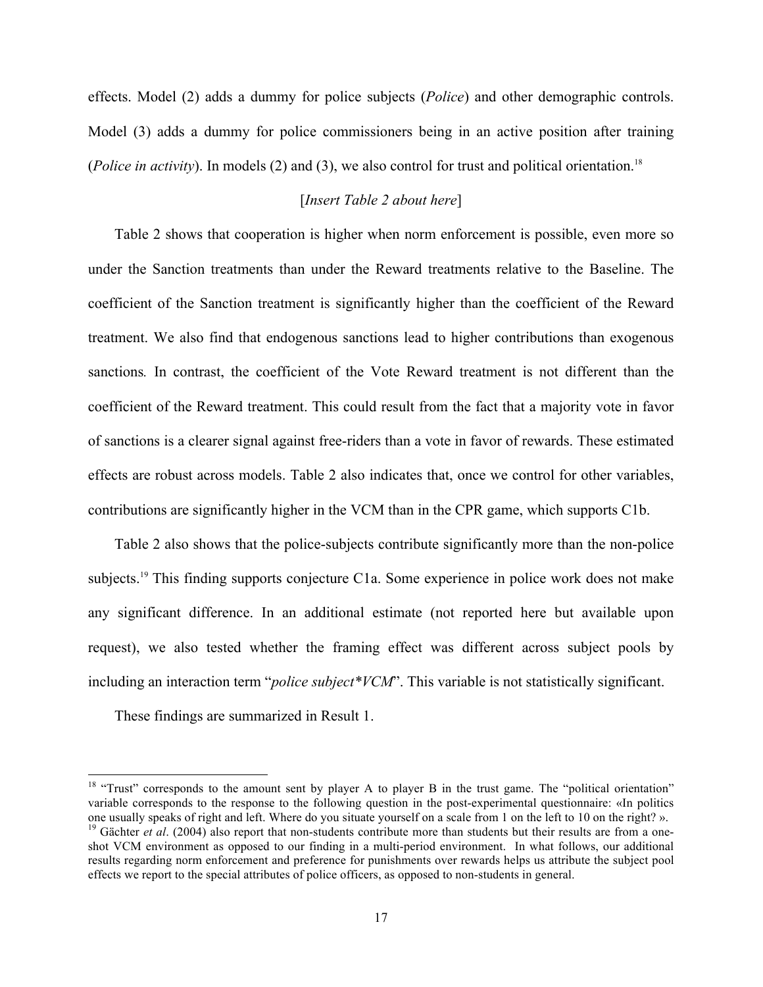effects. Model (2) adds a dummy for police subjects (*Police*) and other demographic controls. Model (3) adds a dummy for police commissioners being in an active position after training (*Police in activity*). In models (2) and (3), we also control for trust and political orientation.<sup>18</sup>

#### [*Insert Table 2 about here*]

Table 2 shows that cooperation is higher when norm enforcement is possible, even more so under the Sanction treatments than under the Reward treatments relative to the Baseline. The coefficient of the Sanction treatment is significantly higher than the coefficient of the Reward treatment. We also find that endogenous sanctions lead to higher contributions than exogenous sanctions*.* In contrast, the coefficient of the Vote Reward treatment is not different than the coefficient of the Reward treatment. This could result from the fact that a majority vote in favor of sanctions is a clearer signal against free-riders than a vote in favor of rewards. These estimated effects are robust across models. Table 2 also indicates that, once we control for other variables, contributions are significantly higher in the VCM than in the CPR game, which supports C1b.

Table 2 also shows that the police-subjects contribute significantly more than the non-police subjects.<sup>19</sup> This finding supports conjecture C1a. Some experience in police work does not make any significant difference. In an additional estimate (not reported here but available upon request), we also tested whether the framing effect was different across subject pools by including an interaction term "*police subject\*VCM*". This variable is not statistically significant.

These findings are summarized in Result 1.

<sup>&</sup>lt;sup>18</sup> "Trust" corresponds to the amount sent by player A to player B in the trust game. The "political orientation" variable corresponds to the response to the following question in the post-experimental questionnaire: «In politics one usually speaks of right and left. Where do you situate yourself on a scale from 1 on the left to 10 on <sup>19</sup> Gächter et al. (2004) also report that non-students contribute more than students but their results are from a oneshot VCM environment as opposed to our finding in a multi-period environment. In what follows, our additional results regarding norm enforcement and preference for punishments over rewards helps us attribute the subject pool effects we report to the special attributes of police officers, as opposed to non-students in general.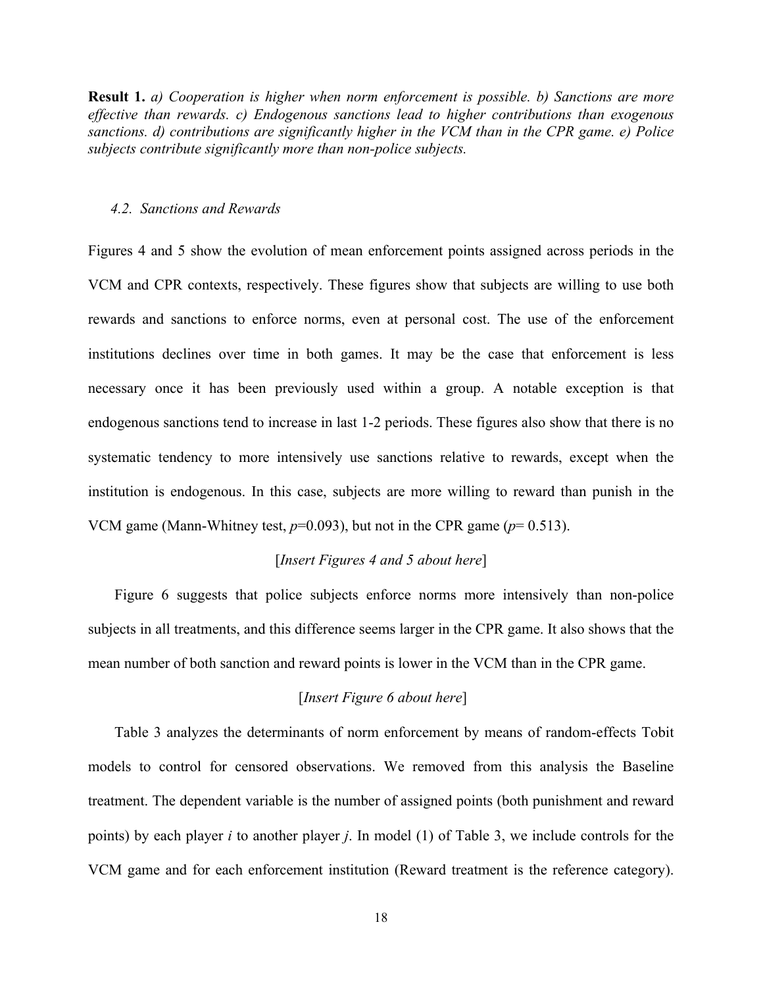**Result 1.** *a) Cooperation is higher when norm enforcement is possible. b) Sanctions are more effective than rewards. c) Endogenous sanctions lead to higher contributions than exogenous sanctions. d) contributions are significantly higher in the VCM than in the CPR game. e) Police subjects contribute significantly more than non-police subjects.*

#### *4.2. Sanctions and Rewards*

Figures 4 and 5 show the evolution of mean enforcement points assigned across periods in the VCM and CPR contexts, respectively. These figures show that subjects are willing to use both rewards and sanctions to enforce norms, even at personal cost. The use of the enforcement institutions declines over time in both games. It may be the case that enforcement is less necessary once it has been previously used within a group. A notable exception is that endogenous sanctions tend to increase in last 1-2 periods. These figures also show that there is no systematic tendency to more intensively use sanctions relative to rewards, except when the institution is endogenous. In this case, subjects are more willing to reward than punish in the VCM game (Mann-Whitney test,  $p=0.093$ ), but not in the CPR game ( $p=0.513$ ).

#### [*Insert Figures 4 and 5 about here*]

Figure 6 suggests that police subjects enforce norms more intensively than non-police subjects in all treatments, and this difference seems larger in the CPR game. It also shows that the mean number of both sanction and reward points is lower in the VCM than in the CPR game.

#### [*Insert Figure 6 about here*]

Table 3 analyzes the determinants of norm enforcement by means of random-effects Tobit models to control for censored observations. We removed from this analysis the Baseline treatment. The dependent variable is the number of assigned points (both punishment and reward points) by each player *i* to another player *j*. In model (1) of Table 3, we include controls for the VCM game and for each enforcement institution (Reward treatment is the reference category).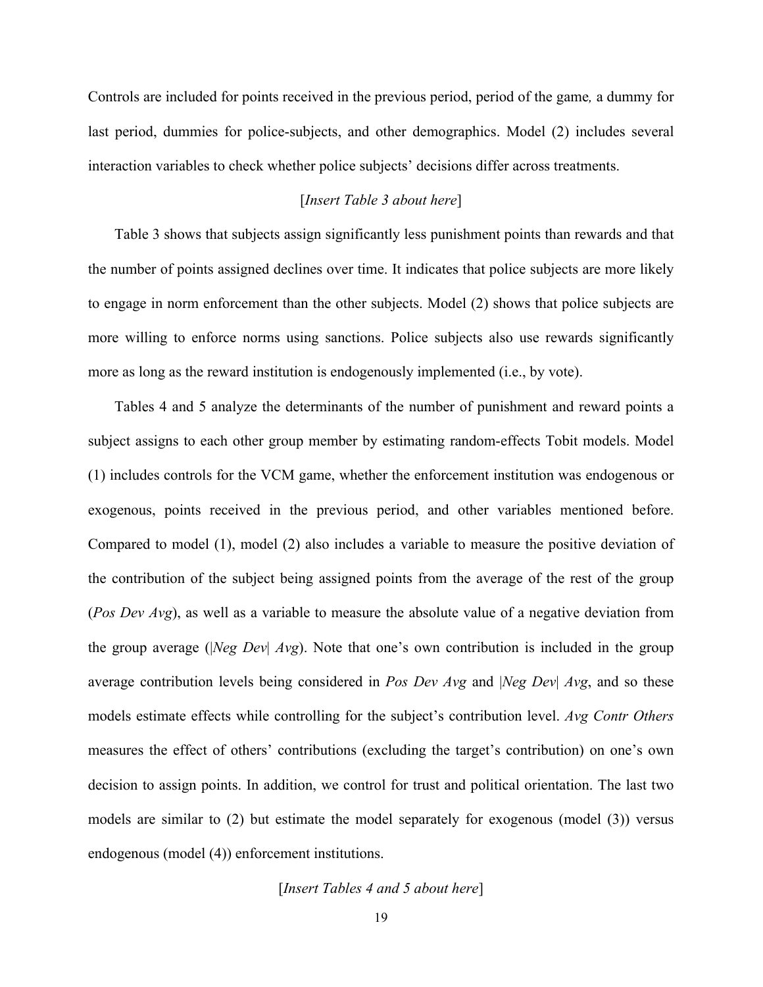Controls are included for points received in the previous period, period of the game*,* a dummy for last period, dummies for police-subjects, and other demographics. Model (2) includes several interaction variables to check whether police subjects' decisions differ across treatments.

#### [*Insert Table 3 about here*]

Table 3 shows that subjects assign significantly less punishment points than rewards and that the number of points assigned declines over time. It indicates that police subjects are more likely to engage in norm enforcement than the other subjects. Model (2) shows that police subjects are more willing to enforce norms using sanctions. Police subjects also use rewards significantly more as long as the reward institution is endogenously implemented (i.e., by vote).

Tables 4 and 5 analyze the determinants of the number of punishment and reward points a subject assigns to each other group member by estimating random-effects Tobit models. Model (1) includes controls for the VCM game, whether the enforcement institution was endogenous or exogenous, points received in the previous period, and other variables mentioned before. Compared to model (1), model (2) also includes a variable to measure the positive deviation of the contribution of the subject being assigned points from the average of the rest of the group (*Pos Dev Avg*), as well as a variable to measure the absolute value of a negative deviation from the group average (|*Neg Dev*| *Avg*). Note that one's own contribution is included in the group average contribution levels being considered in *Pos Dev Avg* and |*Neg Dev*| *Avg*, and so these models estimate effects while controlling for the subject's contribution level. *Avg Contr Others* measures the effect of others' contributions (excluding the target's contribution) on one's own decision to assign points. In addition, we control for trust and political orientation. The last two models are similar to (2) but estimate the model separately for exogenous (model (3)) versus endogenous (model (4)) enforcement institutions.

#### [*Insert Tables 4 and 5 about here*]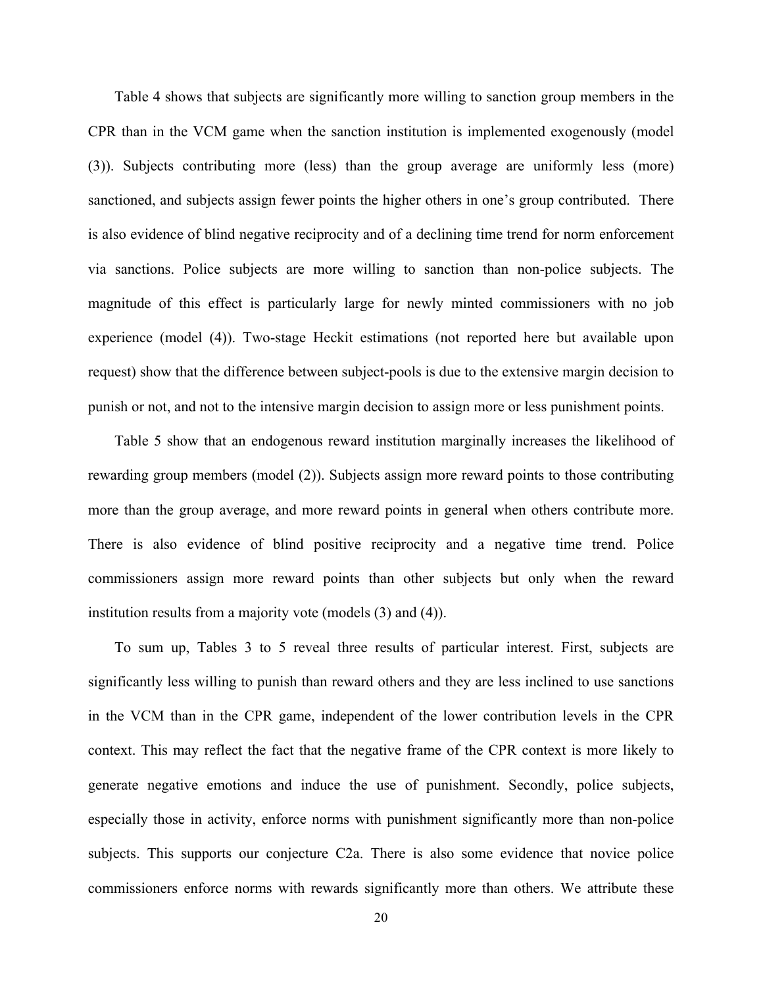Table 4 shows that subjects are significantly more willing to sanction group members in the CPR than in the VCM game when the sanction institution is implemented exogenously (model (3)). Subjects contributing more (less) than the group average are uniformly less (more) sanctioned, and subjects assign fewer points the higher others in one's group contributed. There is also evidence of blind negative reciprocity and of a declining time trend for norm enforcement via sanctions. Police subjects are more willing to sanction than non-police subjects. The magnitude of this effect is particularly large for newly minted commissioners with no job experience (model (4)). Two-stage Heckit estimations (not reported here but available upon request) show that the difference between subject-pools is due to the extensive margin decision to punish or not, and not to the intensive margin decision to assign more or less punishment points.

Table 5 show that an endogenous reward institution marginally increases the likelihood of rewarding group members (model (2)). Subjects assign more reward points to those contributing more than the group average, and more reward points in general when others contribute more. There is also evidence of blind positive reciprocity and a negative time trend. Police commissioners assign more reward points than other subjects but only when the reward institution results from a majority vote (models (3) and (4)).

To sum up, Tables 3 to 5 reveal three results of particular interest. First, subjects are significantly less willing to punish than reward others and they are less inclined to use sanctions in the VCM than in the CPR game, independent of the lower contribution levels in the CPR context. This may reflect the fact that the negative frame of the CPR context is more likely to generate negative emotions and induce the use of punishment. Secondly, police subjects, especially those in activity, enforce norms with punishment significantly more than non-police subjects. This supports our conjecture C2a. There is also some evidence that novice police commissioners enforce norms with rewards significantly more than others. We attribute these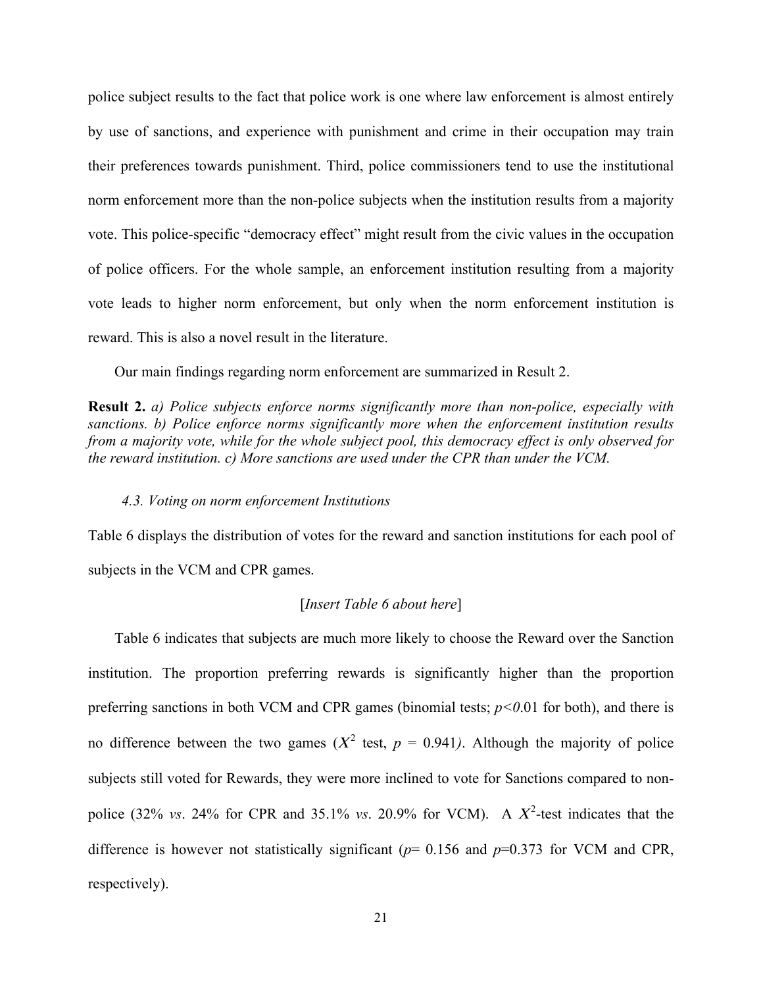police subject results to the fact that police work is one where law enforcement is almost entirely by use of sanctions, and experience with punishment and crime in their occupation may train their preferences towards punishment. Third, police commissioners tend to use the institutional norm enforcement more than the non-police subjects when the institution results from a majority vote. This police-specific "democracy effect" might result from the civic values in the occupation of police officers. For the whole sample, an enforcement institution resulting from a majority vote leads to higher norm enforcement, but only when the norm enforcement institution is reward. This is also a novel result in the literature.

Our main findings regarding norm enforcement are summarized in Result 2.

**Result 2.** *a) Police subjects enforce norms significantly more than non-police, especially with sanctions. b) Police enforce norms significantly more when the enforcement institution results from a majority vote, while for the whole subject pool, this democracy effect is only observed for the reward institution. c) More sanctions are used under the CPR than under the VCM.*

#### *4.3. Voting on norm enforcement Institutions*

Table 6 displays the distribution of votes for the reward and sanction institutions for each pool of subjects in the VCM and CPR games.

#### [*Insert Table 6 about here*]

Table 6 indicates that subjects are much more likely to choose the Reward over the Sanction institution. The proportion preferring rewards is significantly higher than the proportion preferring sanctions in both VCM and CPR games (binomial tests; *p<0*.01 for both), and there is no difference between the two games  $(X^2 \text{ test}, p = 0.941)$ . Although the majority of police subjects still voted for Rewards, they were more inclined to vote for Sanctions compared to nonpolice (32% *vs.* 24% for CPR and 35.1% *vs.* 20.9% for VCM). A  $X^2$ -test indicates that the difference is however not statistically significant (*p*= 0.156 and *p*=0.373 for VCM and CPR, respectively).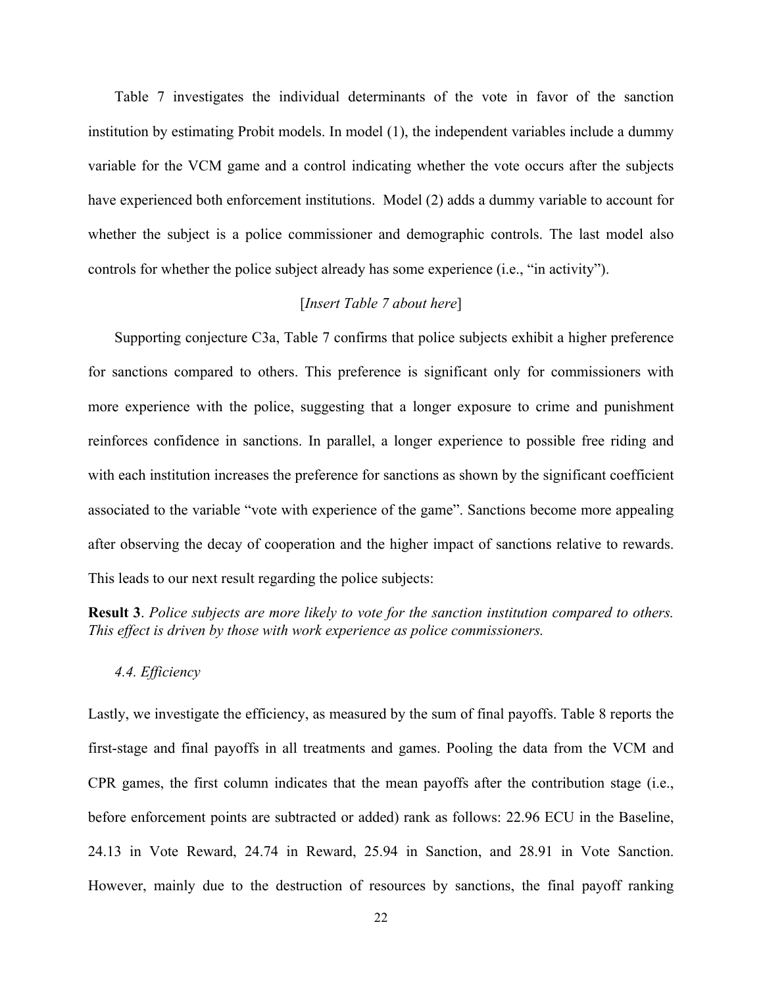Table 7 investigates the individual determinants of the vote in favor of the sanction institution by estimating Probit models. In model (1), the independent variables include a dummy variable for the VCM game and a control indicating whether the vote occurs after the subjects have experienced both enforcement institutions. Model (2) adds a dummy variable to account for whether the subject is a police commissioner and demographic controls. The last model also controls for whether the police subject already has some experience (i.e., "in activity").

#### [*Insert Table 7 about here*]

Supporting conjecture C3a, Table 7 confirms that police subjects exhibit a higher preference for sanctions compared to others. This preference is significant only for commissioners with more experience with the police, suggesting that a longer exposure to crime and punishment reinforces confidence in sanctions. In parallel, a longer experience to possible free riding and with each institution increases the preference for sanctions as shown by the significant coefficient associated to the variable "vote with experience of the game". Sanctions become more appealing after observing the decay of cooperation and the higher impact of sanctions relative to rewards. This leads to our next result regarding the police subjects:

**Result 3**. *Police subjects are more likely to vote for the sanction institution compared to others. This effect is driven by those with work experience as police commissioners.*

#### *4.4. Efficiency*

Lastly, we investigate the efficiency, as measured by the sum of final payoffs. Table 8 reports the first-stage and final payoffs in all treatments and games. Pooling the data from the VCM and CPR games, the first column indicates that the mean payoffs after the contribution stage (i.e., before enforcement points are subtracted or added) rank as follows: 22.96 ECU in the Baseline, 24.13 in Vote Reward, 24.74 in Reward, 25.94 in Sanction, and 28.91 in Vote Sanction. However, mainly due to the destruction of resources by sanctions, the final payoff ranking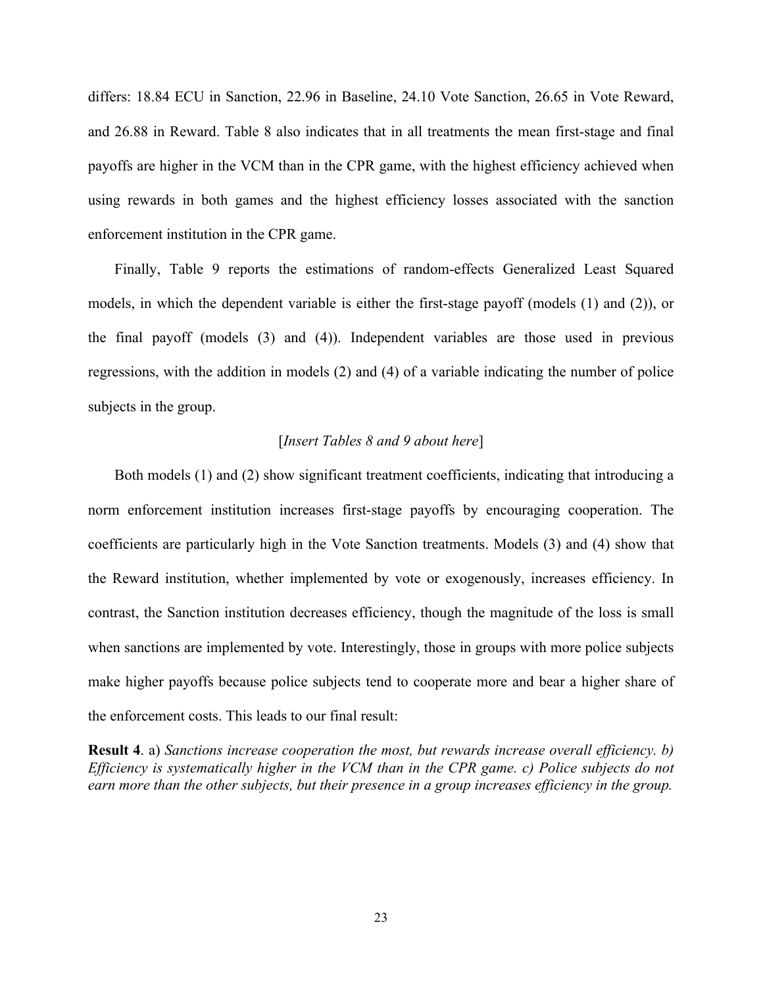differs: 18.84 ECU in Sanction, 22.96 in Baseline, 24.10 Vote Sanction, 26.65 in Vote Reward, and 26.88 in Reward. Table 8 also indicates that in all treatments the mean first-stage and final payoffs are higher in the VCM than in the CPR game, with the highest efficiency achieved when using rewards in both games and the highest efficiency losses associated with the sanction enforcement institution in the CPR game.

Finally, Table 9 reports the estimations of random-effects Generalized Least Squared models, in which the dependent variable is either the first-stage payoff (models (1) and (2)), or the final payoff (models (3) and (4)). Independent variables are those used in previous regressions, with the addition in models (2) and (4) of a variable indicating the number of police subjects in the group.

#### [*Insert Tables 8 and 9 about here*]

Both models (1) and (2) show significant treatment coefficients, indicating that introducing a norm enforcement institution increases first-stage payoffs by encouraging cooperation. The coefficients are particularly high in the Vote Sanction treatments. Models (3) and (4) show that the Reward institution, whether implemented by vote or exogenously, increases efficiency. In contrast, the Sanction institution decreases efficiency, though the magnitude of the loss is small when sanctions are implemented by vote. Interestingly, those in groups with more police subjects make higher payoffs because police subjects tend to cooperate more and bear a higher share of the enforcement costs. This leads to our final result:

**Result 4**. a) *Sanctions increase cooperation the most, but rewards increase overall efficiency. b) Efficiency is systematically higher in the VCM than in the CPR game. c) Police subjects do not earn more than the other subjects, but their presence in a group increases efficiency in the group.*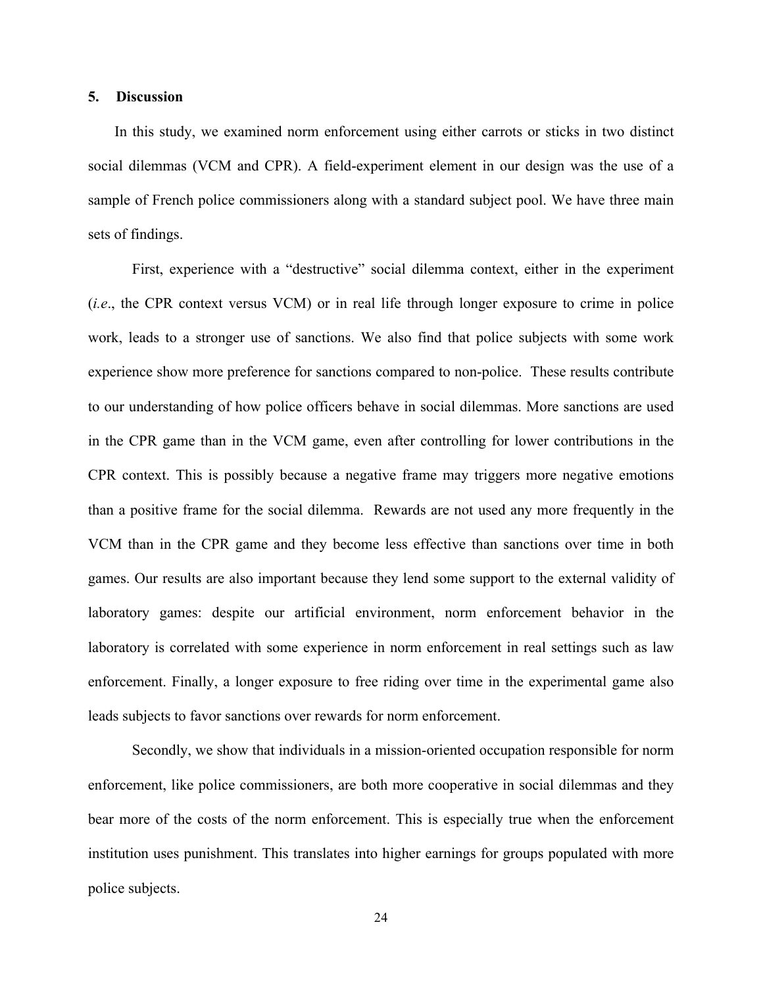#### **5. Discussion**

In this study, we examined norm enforcement using either carrots or sticks in two distinct social dilemmas (VCM and CPR). A field-experiment element in our design was the use of a sample of French police commissioners along with a standard subject pool. We have three main sets of findings.

First, experience with a "destructive" social dilemma context, either in the experiment (*i.e*., the CPR context versus VCM) or in real life through longer exposure to crime in police work, leads to a stronger use of sanctions. We also find that police subjects with some work experience show more preference for sanctions compared to non-police. These results contribute to our understanding of how police officers behave in social dilemmas. More sanctions are used in the CPR game than in the VCM game, even after controlling for lower contributions in the CPR context. This is possibly because a negative frame may triggers more negative emotions than a positive frame for the social dilemma. Rewards are not used any more frequently in the VCM than in the CPR game and they become less effective than sanctions over time in both games. Our results are also important because they lend some support to the external validity of laboratory games: despite our artificial environment, norm enforcement behavior in the laboratory is correlated with some experience in norm enforcement in real settings such as law enforcement. Finally, a longer exposure to free riding over time in the experimental game also leads subjects to favor sanctions over rewards for norm enforcement.

Secondly, we show that individuals in a mission-oriented occupation responsible for norm enforcement, like police commissioners, are both more cooperative in social dilemmas and they bear more of the costs of the norm enforcement. This is especially true when the enforcement institution uses punishment. This translates into higher earnings for groups populated with more police subjects.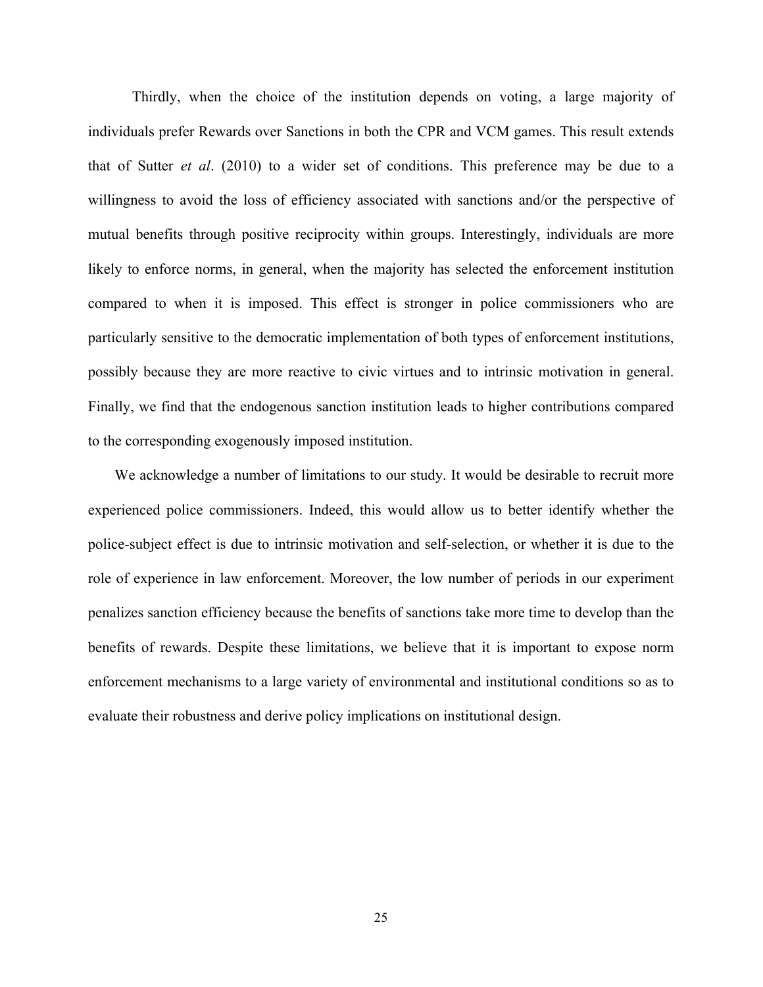Thirdly, when the choice of the institution depends on voting, a large majority of individuals prefer Rewards over Sanctions in both the CPR and VCM games. This result extends that of Sutter *et al*. (2010) to a wider set of conditions. This preference may be due to a willingness to avoid the loss of efficiency associated with sanctions and/or the perspective of mutual benefits through positive reciprocity within groups. Interestingly, individuals are more likely to enforce norms, in general, when the majority has selected the enforcement institution compared to when it is imposed. This effect is stronger in police commissioners who are particularly sensitive to the democratic implementation of both types of enforcement institutions, possibly because they are more reactive to civic virtues and to intrinsic motivation in general. Finally, we find that the endogenous sanction institution leads to higher contributions compared to the corresponding exogenously imposed institution.

We acknowledge a number of limitations to our study. It would be desirable to recruit more experienced police commissioners. Indeed, this would allow us to better identify whether the police-subject effect is due to intrinsic motivation and self-selection, or whether it is due to the role of experience in law enforcement. Moreover, the low number of periods in our experiment penalizes sanction efficiency because the benefits of sanctions take more time to develop than the benefits of rewards. Despite these limitations, we believe that it is important to expose norm enforcement mechanisms to a large variety of environmental and institutional conditions so as to evaluate their robustness and derive policy implications on institutional design.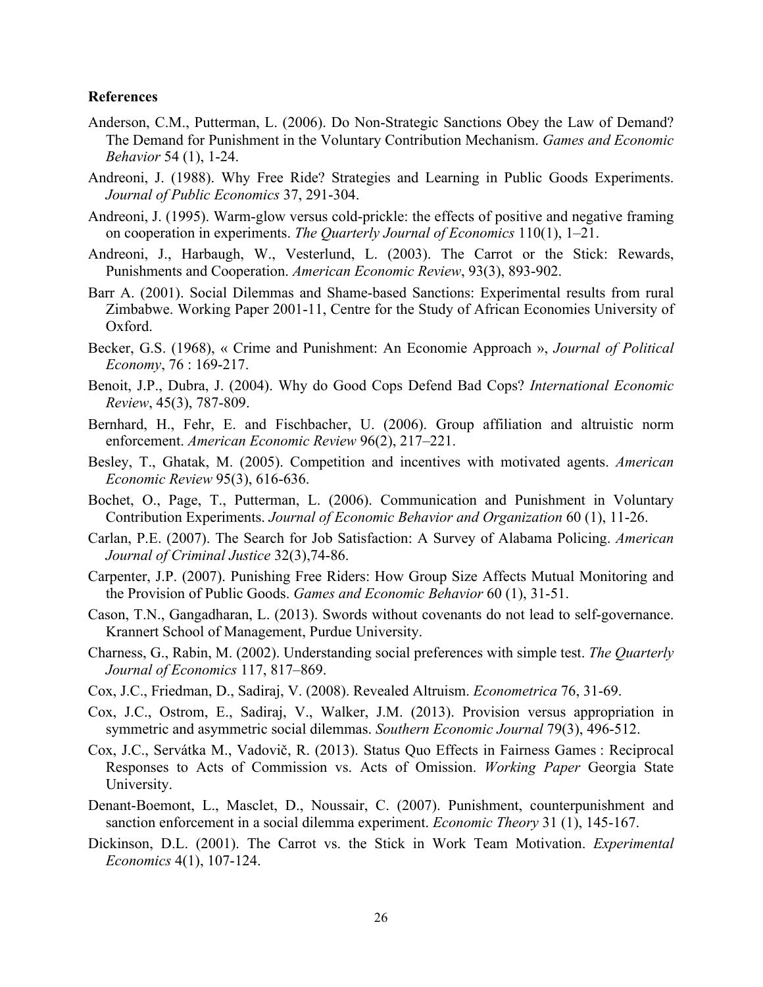#### **References**

- Anderson, C.M., Putterman, L. (2006). Do Non-Strategic Sanctions Obey the Law of Demand? The Demand for Punishment in the Voluntary Contribution Mechanism. *Games and Economic Behavior* 54 (1), 1-24.
- Andreoni, J. (1988). Why Free Ride? Strategies and Learning in Public Goods Experiments. *Journal of Public Economics* 37, 291-304.
- Andreoni, J. (1995). Warm-glow versus cold-prickle: the effects of positive and negative framing on cooperation in experiments. *The Quarterly Journal of Economics* 110(1), 1–21.
- Andreoni, J., Harbaugh, W., Vesterlund, L. (2003). The Carrot or the Stick: Rewards, Punishments and Cooperation. *American Economic Review*, 93(3), 893-902.
- Barr A. (2001). Social Dilemmas and Shame-based Sanctions: Experimental results from rural Zimbabwe. Working Paper 2001-11, Centre for the Study of African Economies University of Oxford.
- Becker, G.S. (1968), « Crime and Punishment: An Economie Approach », *Journal of Political Economy*, 76 : 169-217.
- Benoit, J.P., Dubra, J. (2004). Why do Good Cops Defend Bad Cops? *International Economic Review*, 45(3), 787-809.
- Bernhard, H., Fehr, E. and Fischbacher, U. (2006). Group affiliation and altruistic norm enforcement. *American Economic Review* 96(2), 217–221.
- Besley, T., Ghatak, M. (2005). Competition and incentives with motivated agents. *American Economic Review* 95(3), 616-636.
- Bochet, O., Page, T., Putterman, L. (2006). Communication and Punishment in Voluntary Contribution Experiments. *Journal of Economic Behavior and Organization* 60 (1), 11-26.
- Carlan, P.E. (2007). The Search for Job Satisfaction: A Survey of Alabama Policing. *American Journal of Criminal Justice* 32(3),74-86.
- Carpenter, J.P. (2007). Punishing Free Riders: How Group Size Affects Mutual Monitoring and the Provision of Public Goods. *Games and Economic Behavior* 60 (1), 31-51.
- Cason, T.N., Gangadharan, L. (2013). Swords without covenants do not lead to self-governance. Krannert School of Management, Purdue University.
- Charness, G., Rabin, M. (2002). Understanding social preferences with simple test. *The Quarterly Journal of Economics* 117, 817–869.
- Cox, J.C., Friedman, D., Sadiraj, V. (2008). Revealed Altruism. *Econometrica* 76, 31-69.
- Cox, J.C., Ostrom, E., Sadiraj, V., Walker, J.M. (2013). Provision versus appropriation in symmetric and asymmetric social dilemmas. *Southern Economic Journal* 79(3), 496-512.
- Cox, J.C., Servátka M., Vadovič, R. (2013). Status Quo Effects in Fairness Games : Reciprocal Responses to Acts of Commission vs. Acts of Omission. *Working Paper* Georgia State University.
- Denant-Boemont, L., Masclet, D., Noussair, C. (2007). Punishment, counterpunishment and sanction enforcement in a social dilemma experiment. *Economic Theory* 31 (1), 145-167.
- Dickinson, D.L. (2001). The Carrot vs. the Stick in Work Team Motivation. *Experimental Economics* 4(1), 107-124.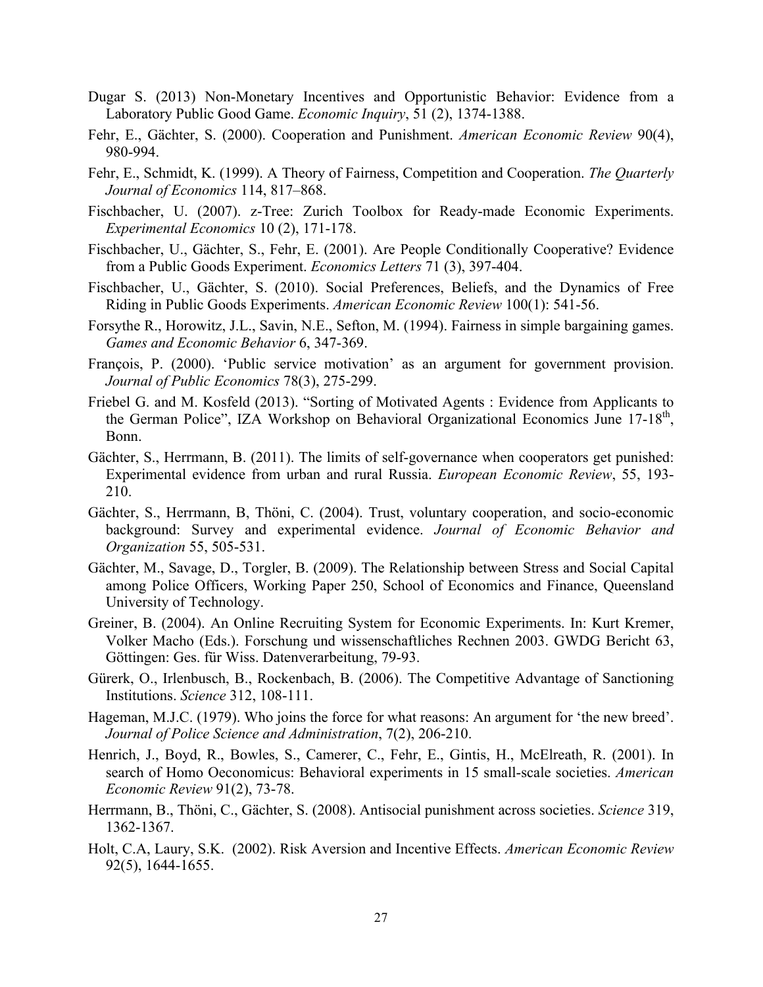- Dugar S. (2013) Non-Monetary Incentives and Opportunistic Behavior: Evidence from a Laboratory Public Good Game. *Economic Inquiry*, 51 (2), 1374-1388.
- Fehr, E., Gächter, S. (2000). Cooperation and Punishment. *American Economic Review* 90(4), 980-994.
- Fehr, E., Schmidt, K. (1999). A Theory of Fairness, Competition and Cooperation. *The Quarterly Journal of Economics* 114, 817–868.
- Fischbacher, U. (2007). z-Tree: Zurich Toolbox for Ready-made Economic Experiments. *Experimental Economics* 10 (2), 171-178.
- Fischbacher, U., Gächter, S., Fehr, E. (2001). Are People Conditionally Cooperative? Evidence from a Public Goods Experiment. *Economics Letters* 71 (3), 397-404.
- Fischbacher, U., Gächter, S. (2010). Social Preferences, Beliefs, and the Dynamics of Free Riding in Public Goods Experiments. *American Economic Review* 100(1): 541-56.
- Forsythe R., Horowitz, J.L., Savin, N.E., Sefton, M. (1994). Fairness in simple bargaining games. *Games and Economic Behavior* 6, 347-369.
- François, P. (2000). 'Public service motivation' as an argument for government provision. *Journal of Public Economics* 78(3), 275-299.
- Friebel G. and M. Kosfeld (2013). "Sorting of Motivated Agents : Evidence from Applicants to the German Police", IZA Workshop on Behavioral Organizational Economics June 17-18<sup>th</sup>, Bonn.
- Gächter, S., Herrmann, B. (2011). The limits of self-governance when cooperators get punished: Experimental evidence from urban and rural Russia. *European Economic Review*, 55, 193- 210.
- Gächter, S., Herrmann, B, Thöni, C. (2004). Trust, voluntary cooperation, and socio-economic background: Survey and experimental evidence. *Journal of Economic Behavior and Organization* 55, 505-531.
- Gächter, M., Savage, D., Torgler, B. (2009). The Relationship between Stress and Social Capital among Police Officers, Working Paper 250, School of Economics and Finance, Queensland University of Technology.
- Greiner, B. (2004). An Online Recruiting System for Economic Experiments. In: Kurt Kremer, Volker Macho (Eds.). Forschung und wissenschaftliches Rechnen 2003. GWDG Bericht 63, Göttingen: Ges. für Wiss. Datenverarbeitung, 79-93.
- Gürerk, O., Irlenbusch, B., Rockenbach, B. (2006). The Competitive Advantage of Sanctioning Institutions. *Science* 312, 108-111.
- Hageman, M.J.C. (1979). Who joins the force for what reasons: An argument for 'the new breed'. *Journal of Police Science and Administration*, 7(2), 206-210.
- Henrich, J., Boyd, R., Bowles, S., Camerer, C., Fehr, E., Gintis, H., McElreath, R. (2001). In search of Homo Oeconomicus: Behavioral experiments in 15 small-scale societies. *American Economic Review* 91(2), 73-78.
- Herrmann, B., Thöni, C., Gächter, S. (2008). Antisocial punishment across societies. *Science* 319, 1362-1367.
- Holt, C.A, Laury, S.K. (2002). Risk Aversion and Incentive Effects. *American Economic Review* 92(5), 1644-1655.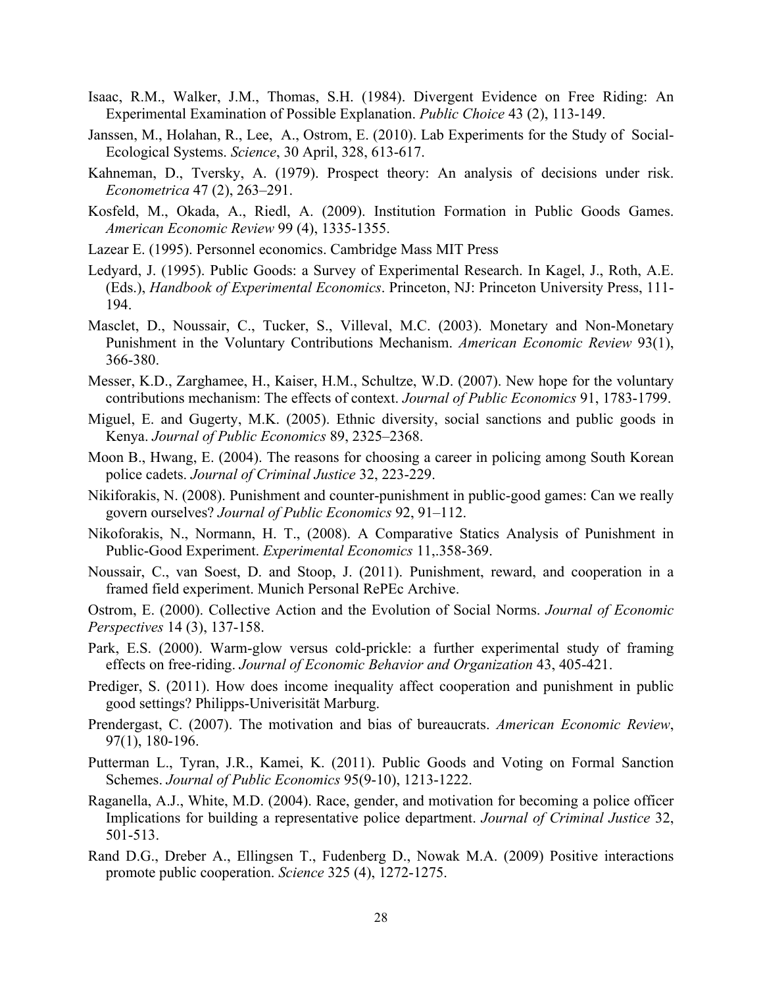- Isaac, R.M., Walker, J.M., Thomas, S.H. (1984). Divergent Evidence on Free Riding: An Experimental Examination of Possible Explanation. *Public Choice* 43 (2), 113-149.
- Janssen, M., Holahan, R., Lee, A., Ostrom, E. (2010). Lab Experiments for the Study of Social-Ecological Systems. *Science*, 30 April, 328, 613-617.
- Kahneman, D., Tversky, A. (1979). Prospect theory: An analysis of decisions under risk. *Econometrica* 47 (2), 263–291.
- Kosfeld, M., Okada, A., Riedl, A. (2009). Institution Formation in Public Goods Games. *American Economic Review* 99 (4), 1335-1355.
- Lazear E. (1995). Personnel economics. Cambridge Mass MIT Press
- Ledyard, J. (1995). Public Goods: a Survey of Experimental Research. In Kagel, J., Roth, A.E. (Eds.), *Handbook of Experimental Economics*. Princeton, NJ: Princeton University Press, 111- 194.
- Masclet, D., Noussair, C., Tucker, S., Villeval, M.C. (2003). Monetary and Non-Monetary Punishment in the Voluntary Contributions Mechanism. *American Economic Review* 93(1), 366-380.
- Messer, K.D., Zarghamee, H., Kaiser, H.M., Schultze, W.D. (2007). New hope for the voluntary contributions mechanism: The effects of context. *Journal of Public Economics* 91, 1783-1799.
- Miguel, E. and Gugerty, M.K. (2005). Ethnic diversity, social sanctions and public goods in Kenya. *Journal of Public Economics* 89, 2325–2368.
- Moon B., Hwang, E. (2004). The reasons for choosing a career in policing among South Korean police cadets. *Journal of Criminal Justice* 32, 223-229.
- Nikiforakis, N. (2008). Punishment and counter-punishment in public-good games: Can we really govern ourselves? *Journal of Public Economics* 92, 91–112.
- Nikoforakis, N., Normann, H. T., (2008). A Comparative Statics Analysis of Punishment in Public-Good Experiment. *Experimental Economics* 11,.358-369.
- Noussair, C., van Soest, D. and Stoop, J. (2011). Punishment, reward, and cooperation in a framed field experiment. Munich Personal RePEc Archive.

Ostrom, E. (2000). Collective Action and the Evolution of Social Norms. *Journal of Economic Perspectives* 14 (3), 137-158.

- Park, E.S. (2000). Warm-glow versus cold-prickle: a further experimental study of framing effects on free-riding. *Journal of Economic Behavior and Organization* 43, 405-421.
- Prediger, S. (2011). How does income inequality affect cooperation and punishment in public good settings? Philipps-Univerisität Marburg.
- Prendergast, C. (2007). The motivation and bias of bureaucrats. *American Economic Review*, 97(1), 180-196.
- Putterman L., Tyran, J.R., Kamei, K. (2011). Public Goods and Voting on Formal Sanction Schemes. *Journal of Public Economics* 95(9-10), 1213-1222.
- Raganella, A.J., White, M.D. (2004). Race, gender, and motivation for becoming a police officer Implications for building a representative police department. *Journal of Criminal Justice* 32, 501-513.
- Rand D.G., Dreber A., Ellingsen T., Fudenberg D., Nowak M.A. (2009) Positive interactions promote public cooperation. *Science* 325 (4), 1272-1275.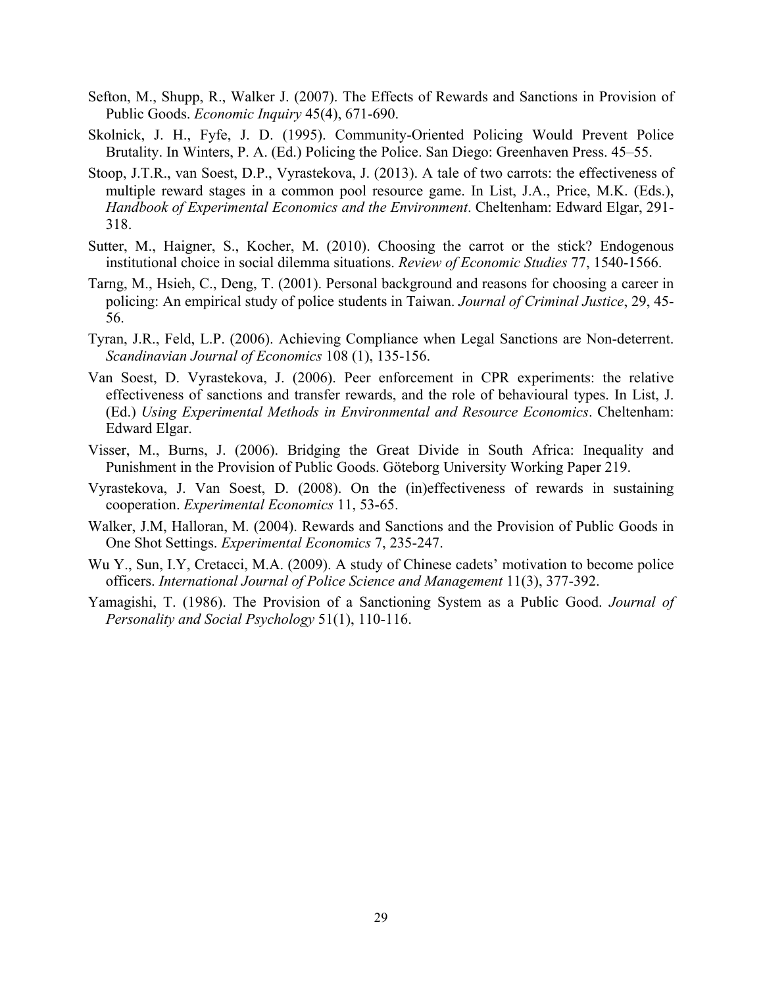- Sefton, M., Shupp, R., Walker J. (2007). The Effects of Rewards and Sanctions in Provision of Public Goods. *Economic Inquiry* 45(4), 671-690.
- Skolnick, J. H., Fyfe, J. D. (1995). Community-Oriented Policing Would Prevent Police Brutality. In Winters, P. A. (Ed.) Policing the Police. San Diego: Greenhaven Press. 45–55.
- Stoop, J.T.R., van Soest, D.P., Vyrastekova, J. (2013). A tale of two carrots: the effectiveness of multiple reward stages in a common pool resource game. In List, J.A., Price, M.K. (Eds.), *Handbook of Experimental Economics and the Environment*. Cheltenham: Edward Elgar, 291- 318.
- Sutter, M., Haigner, S., Kocher, M. (2010). Choosing the carrot or the stick? Endogenous institutional choice in social dilemma situations. *Review of Economic Studies* 77, 1540-1566.
- Tarng, M., Hsieh, C., Deng, T. (2001). Personal background and reasons for choosing a career in policing: An empirical study of police students in Taiwan. *Journal of Criminal Justice*, 29, 45- 56.
- Tyran, J.R., Feld, L.P. (2006). Achieving Compliance when Legal Sanctions are Non-deterrent. *Scandinavian Journal of Economics* 108 (1), 135-156.
- Van Soest, D. Vyrastekova, J. (2006). Peer enforcement in CPR experiments: the relative effectiveness of sanctions and transfer rewards, and the role of behavioural types. In List, J. (Ed.) *Using Experimental Methods in Environmental and Resource Economics*. Cheltenham: Edward Elgar.
- Visser, M., Burns, J. (2006). Bridging the Great Divide in South Africa: Inequality and Punishment in the Provision of Public Goods. Göteborg University Working Paper 219.
- Vyrastekova, J. Van Soest, D. (2008). On the (in)effectiveness of rewards in sustaining cooperation. *Experimental Economics* 11, 53-65.
- Walker, J.M, Halloran, M. (2004). Rewards and Sanctions and the Provision of Public Goods in One Shot Settings. *Experimental Economics* 7, 235-247.
- Wu Y., Sun, I.Y, Cretacci, M.A. (2009). A study of Chinese cadets' motivation to become police officers. *International Journal of Police Science and Management* 11(3), 377-392.
- Yamagishi, T. (1986). The Provision of a Sanctioning System as a Public Good. *Journal of Personality and Social Psychology* 51(1), 110-116.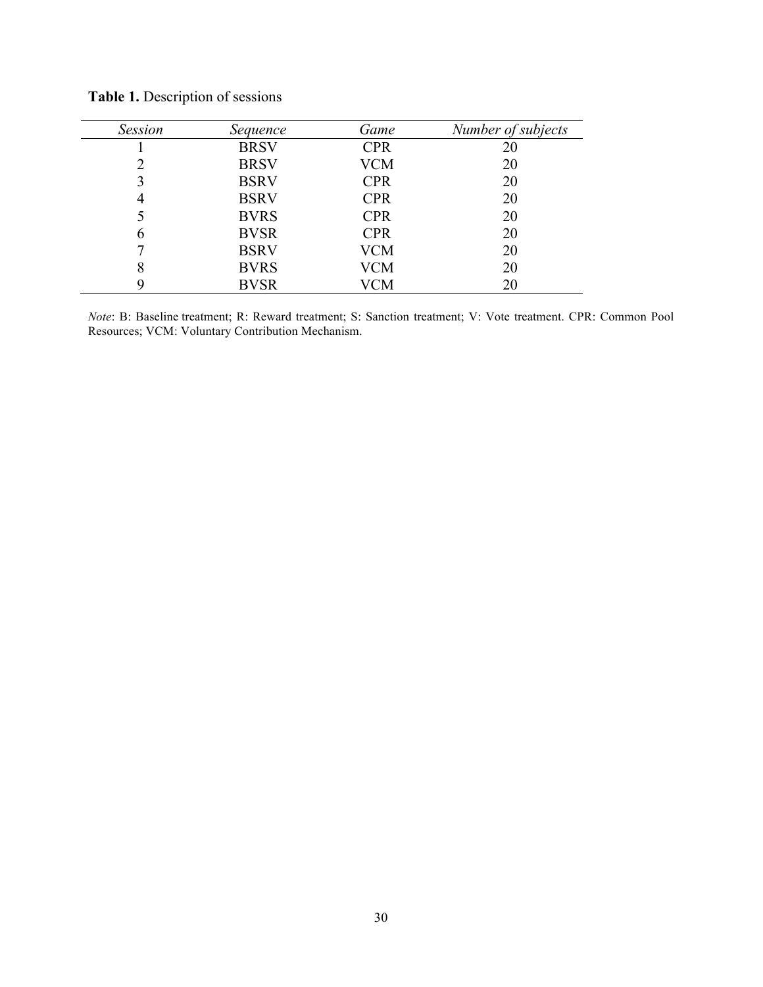| <b>Session</b> | Sequence    | Game       | Number of subjects |
|----------------|-------------|------------|--------------------|
|                | <b>BRSV</b> | <b>CPR</b> | 20                 |
| າ              | <b>BRSV</b> | <b>VCM</b> | 20                 |
| 3              | <b>BSRV</b> | <b>CPR</b> | 20                 |
| 4              | <b>BSRV</b> | <b>CPR</b> | 20                 |
|                | <b>BVRS</b> | <b>CPR</b> | 20                 |
| h              | <b>BVSR</b> | <b>CPR</b> | 20                 |
|                | <b>BSRV</b> | <b>VCM</b> | 20                 |
| 8              | <b>BVRS</b> | VCM        | 20                 |
| Q              | <b>BVSR</b> | /CM        | 20                 |

**Table 1.** Description of sessions

*Note*: B: Baseline treatment; R: Reward treatment; S: Sanction treatment; V: Vote treatment. CPR: Common Pool Resources; VCM: Voluntary Contribution Mechanism.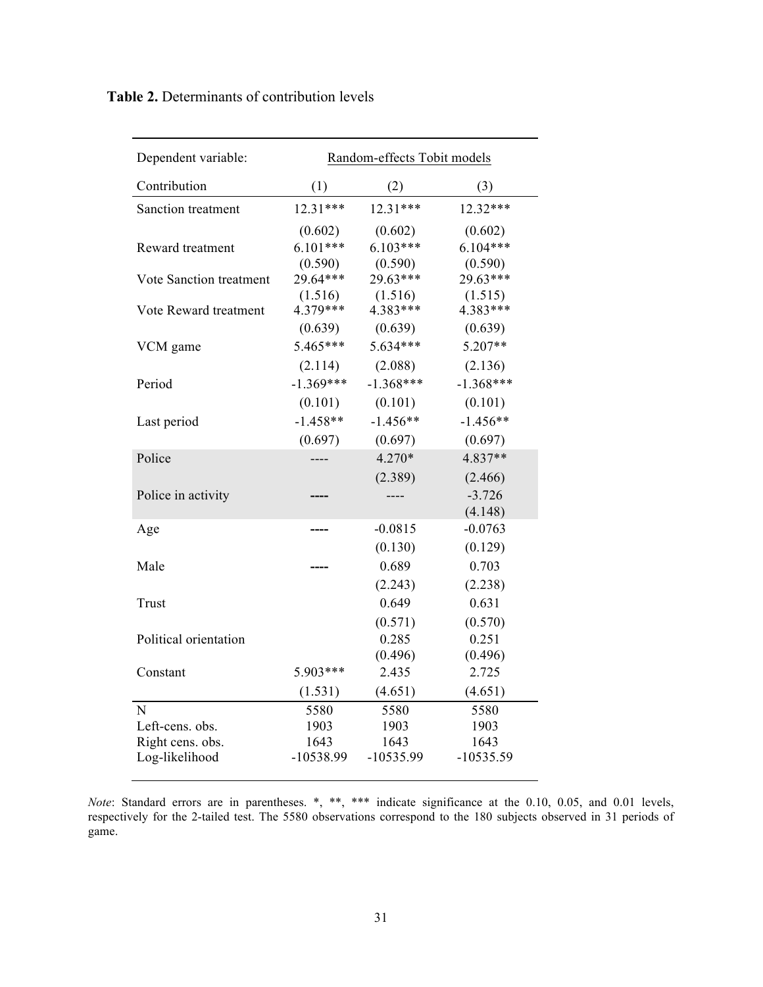| Dependent variable:     | Random-effects Tobit models |             |             |  |  |  |
|-------------------------|-----------------------------|-------------|-------------|--|--|--|
| Contribution            | (1)                         | (2)         | (3)         |  |  |  |
| Sanction treatment      | $12.31***$                  | $12.31***$  | 12.32***    |  |  |  |
|                         | (0.602)                     | (0.602)     | (0.602)     |  |  |  |
| Reward treatment        | $6.101***$                  | $6.103***$  | $6.104***$  |  |  |  |
|                         | (0.590)                     | (0.590)     | (0.590)     |  |  |  |
| Vote Sanction treatment | 29.64***                    | 29.63***    | 29.63***    |  |  |  |
|                         | (1.516)                     | (1.516)     | (1.515)     |  |  |  |
| Vote Reward treatment   | 4.379***                    | 4.383***    | 4.383***    |  |  |  |
|                         | (0.639)                     | (0.639)     | (0.639)     |  |  |  |
| VCM game                | $5.465***$                  | 5.634***    | $5.207**$   |  |  |  |
|                         | (2.114)                     | (2.088)     | (2.136)     |  |  |  |
| Period                  | $-1.369***$                 | $-1.368***$ | $-1.368***$ |  |  |  |
|                         | (0.101)                     | (0.101)     | (0.101)     |  |  |  |
| Last period             | $-1.458**$                  | $-1.456**$  | $-1.456**$  |  |  |  |
|                         | (0.697)                     | (0.697)     | (0.697)     |  |  |  |
| Police                  | ----                        | $4.270*$    | 4.837**     |  |  |  |
|                         |                             | (2.389)     | (2.466)     |  |  |  |
| Police in activity      |                             |             | $-3.726$    |  |  |  |
|                         |                             |             | (4.148)     |  |  |  |
| Age                     |                             | $-0.0815$   | $-0.0763$   |  |  |  |
|                         |                             | (0.130)     | (0.129)     |  |  |  |
| Male                    |                             | 0.689       | 0.703       |  |  |  |
|                         |                             | (2.243)     | (2.238)     |  |  |  |
| Trust                   |                             | 0.649       | 0.631       |  |  |  |
|                         |                             | (0.571)     | (0.570)     |  |  |  |
| Political orientation   |                             | 0.285       | 0.251       |  |  |  |
|                         |                             | (0.496)     | (0.496)     |  |  |  |
| Constant                | 5.903***                    | 2.435       | 2.725       |  |  |  |
|                         | (1.531)                     | (4.651)     | (4.651)     |  |  |  |
| $\mathbf N$             | 5580                        | 5580        | 5580        |  |  |  |
| Left-cens. obs.         | 1903                        | 1903        | 1903        |  |  |  |
| Right cens. obs.        | 1643                        | 1643        | 1643        |  |  |  |
| Log-likelihood          | -10538.99                   | $-10535.99$ | $-10535.59$ |  |  |  |

*Note*: Standard errors are in parentheses. \*, \*\*, \*\*\* indicate significance at the 0.10, 0.05, and 0.01 levels, respectively for the 2-tailed test. The 5580 observations correspond to the 180 subjects observed in 31 periods of game.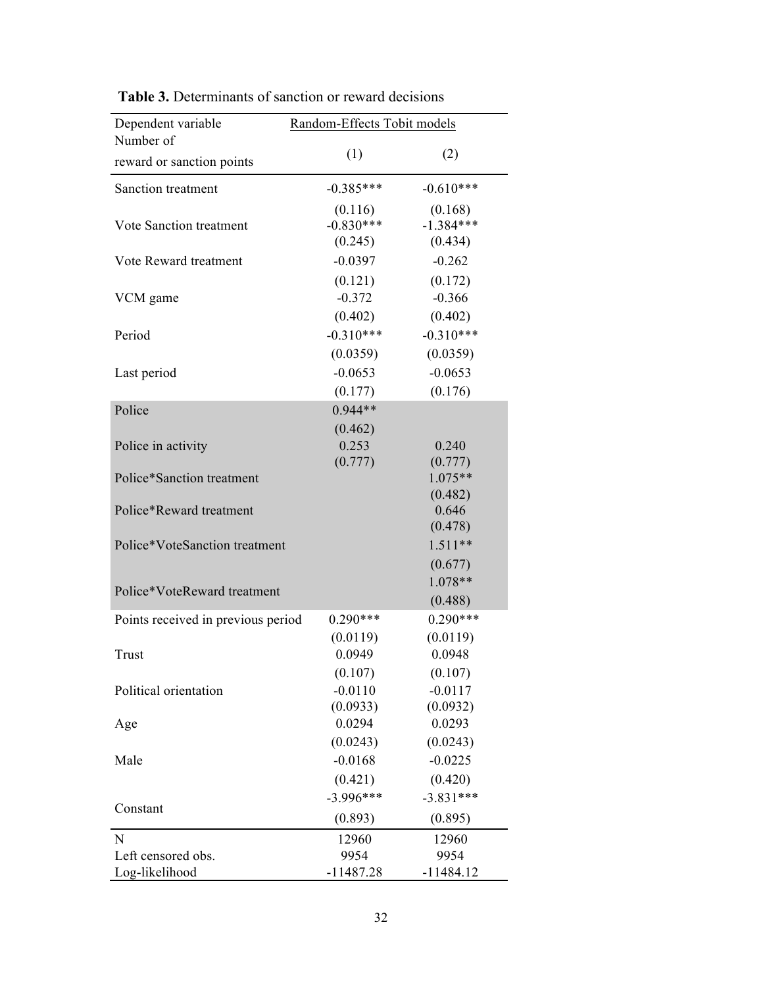| Dependent variable                 | Random-Effects Tobit models                                            |  |  |  |  |
|------------------------------------|------------------------------------------------------------------------|--|--|--|--|
| Number of                          |                                                                        |  |  |  |  |
| reward or sanction points          | (1)<br>(2)                                                             |  |  |  |  |
| Sanction treatment                 | $-0.610***$<br>$-0.385***$                                             |  |  |  |  |
| Vote Sanction treatment            | (0.116)<br>(0.168)<br>$-1.384***$<br>$-0.830***$<br>(0.245)<br>(0.434) |  |  |  |  |
| Vote Reward treatment              | $-0.0397$<br>$-0.262$                                                  |  |  |  |  |
| VCM game                           | (0.121)<br>(0.172)<br>$-0.372$<br>$-0.366$<br>(0.402)<br>(0.402)       |  |  |  |  |
| Period                             | $-0.310***$<br>$-0.310***$                                             |  |  |  |  |
| Last period                        | (0.0359)<br>(0.0359)<br>$-0.0653$<br>$-0.0653$<br>(0.177)<br>(0.176)   |  |  |  |  |
| Police                             | $0.944**$                                                              |  |  |  |  |
| Police in activity                 | (0.462)<br>0.253<br>0.240                                              |  |  |  |  |
| Police*Sanction treatment          | (0.777)<br>(0.777)<br>$1.075**$<br>(0.482)                             |  |  |  |  |
| Police*Reward treatment            | 0.646<br>(0.478)                                                       |  |  |  |  |
| Police*VoteSanction treatment      | $1.511**$<br>(0.677)                                                   |  |  |  |  |
| Police*VoteReward treatment        | 1.078**<br>(0.488)                                                     |  |  |  |  |
| Points received in previous period | $0.290***$<br>$0.290***$<br>(0.0119)<br>(0.0119)                       |  |  |  |  |
| Trust                              | 0.0949<br>0.0948                                                       |  |  |  |  |
| Political orientation              | (0.107)<br>(0.107)<br>$-0.0110$<br>$-0.0117$<br>(0.0933)<br>(0.0932)   |  |  |  |  |
| Age                                | 0.0294<br>0.0293                                                       |  |  |  |  |
| Male                               | (0.0243)<br>(0.0243)<br>$-0.0168$<br>$-0.0225$<br>(0.421)<br>(0.420)   |  |  |  |  |
| Constant                           | $-3.996***$<br>$-3.831***$<br>(0.893)<br>(0.895)                       |  |  |  |  |
| N                                  | 12960<br>12960                                                         |  |  |  |  |
| Left censored obs.                 | 9954<br>9954                                                           |  |  |  |  |
| Log-likelihood                     | $-11487.28$<br>$-11484.12$                                             |  |  |  |  |

 **Table 3.** Determinants of sanction or reward decisions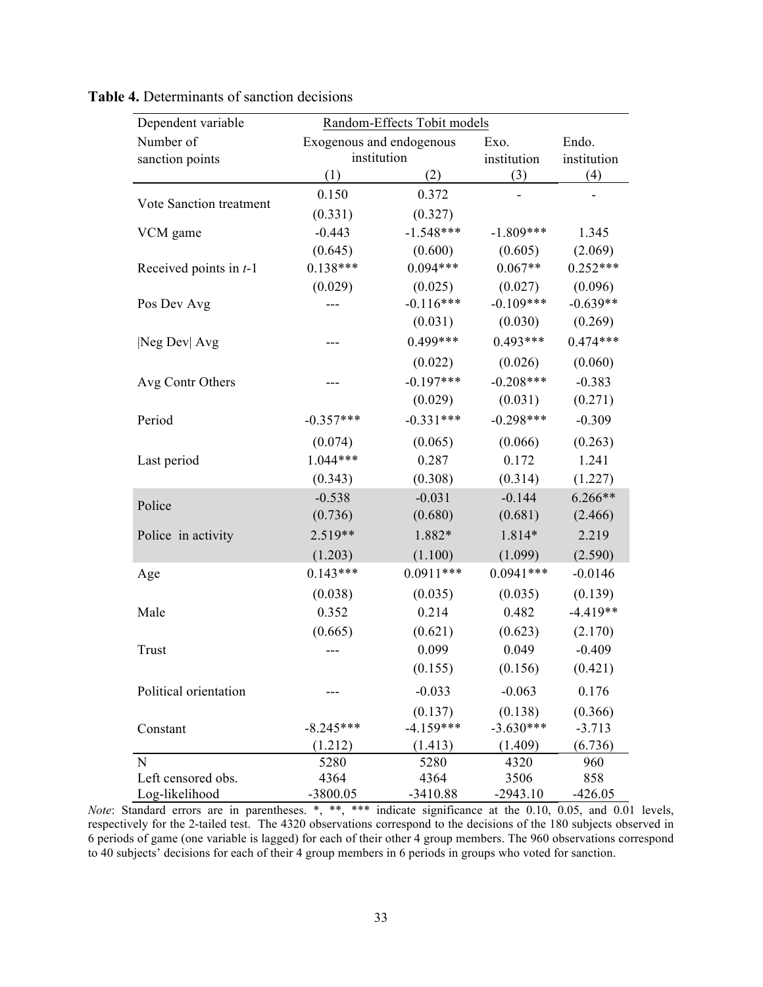| Dependent variable       | Random-Effects Tobit models |             |             |             |  |
|--------------------------|-----------------------------|-------------|-------------|-------------|--|
| Number of                | Exogenous and endogenous    |             | Exo.        | Endo.       |  |
| sanction points          | institution                 |             | institution | institution |  |
|                          | (1)                         | (2)         | (3)         | (4)         |  |
| Vote Sanction treatment  | 0.150                       | 0.372       |             |             |  |
|                          | (0.331)                     | (0.327)     |             |             |  |
| VCM game                 | $-0.443$                    | $-1.548***$ | $-1.809***$ | 1.345       |  |
|                          | (0.645)                     | (0.600)     | (0.605)     | (2.069)     |  |
| Received points in $t-1$ | $0.138***$                  | $0.094***$  | $0.067**$   | $0.252***$  |  |
|                          | (0.029)                     | (0.025)     | (0.027)     | (0.096)     |  |
| Pos Dev Avg              |                             | $-0.116***$ | $-0.109***$ | $-0.639**$  |  |
|                          |                             | (0.031)     | (0.030)     | (0.269)     |  |
| Neg Dev  Avg             |                             | $0.499***$  | $0.493***$  | $0.474***$  |  |
|                          |                             | (0.022)     | (0.026)     | (0.060)     |  |
| Avg Contr Others         |                             | $-0.197***$ | $-0.208***$ | $-0.383$    |  |
|                          |                             | (0.029)     | (0.031)     | (0.271)     |  |
| Period                   | $-0.357***$                 | $-0.331***$ | $-0.298***$ | $-0.309$    |  |
|                          | (0.074)                     | (0.065)     | (0.066)     | (0.263)     |  |
| Last period              | $1.044***$                  | 0.287       | 0.172       | 1.241       |  |
|                          | (0.343)                     | (0.308)     | (0.314)     | (1.227)     |  |
|                          | $-0.538$                    | $-0.031$    | $-0.144$    | $6.266**$   |  |
| Police                   | (0.736)                     | (0.680)     | (0.681)     | (2.466)     |  |
| Police in activity       | 2.519**                     | 1.882*      | 1.814*      | 2.219       |  |
|                          | (1.203)                     | (1.100)     | (1.099)     | (2.590)     |  |
| Age                      | $0.143***$                  | $0.0911***$ | $0.0941***$ | $-0.0146$   |  |
|                          | (0.038)                     | (0.035)     | (0.035)     | (0.139)     |  |
| Male                     | 0.352                       | 0.214       | 0.482       | $-4.419**$  |  |
|                          | (0.665)                     | (0.621)     | (0.623)     | (2.170)     |  |
| Trust                    |                             | 0.099       | 0.049       | $-0.409$    |  |
|                          |                             | (0.155)     | (0.156)     | (0.421)     |  |
| Political orientation    |                             | $-0.033$    | $-0.063$    | 0.176       |  |
|                          |                             | (0.137)     | (0.138)     | (0.366)     |  |
| Constant                 | $-8.245***$                 | $-4.159***$ | $-3.630***$ | $-3.713$    |  |
|                          | (1.212)                     | (1.413)     | (1.409)     | (6.736)     |  |
| N                        | 5280                        | 5280        | 4320        | 960         |  |
| Left censored obs.       | 4364                        | 4364        | 3506        | 858         |  |
| Log-likelihood           | $-3800.05$                  | $-3410.88$  | $-2943.10$  | $-426.05$   |  |

| <b>Table 4.</b> Determinants of sanction decisions |  |  |
|----------------------------------------------------|--|--|
|----------------------------------------------------|--|--|

*Note*: Standard errors are in parentheses. \*, \*\*, \*\*\* indicate significance at the 0.10, 0.05, and 0.01 levels, respectively for the 2-tailed test. The 4320 observations correspond to the decisions of the 180 subjects observed in 6 periods of game (one variable is lagged) for each of their other 4 group members. The 960 observations correspond to 40 subjects' decisions for each of their 4 group members in 6 periods in groups who voted for sanction.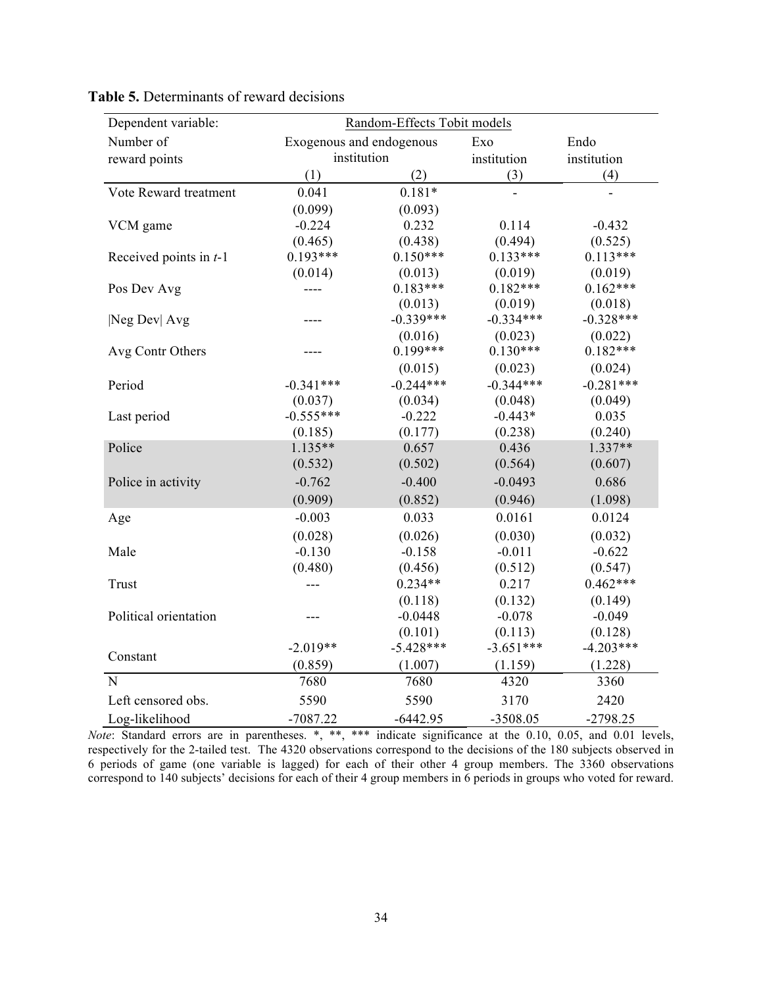| Dependent variable:      | Random-Effects Tobit models |             |             |             |  |
|--------------------------|-----------------------------|-------------|-------------|-------------|--|
| Number of                | Exogenous and endogenous    |             | Exo         | Endo        |  |
| reward points            |                             | institution |             | institution |  |
|                          | (1)                         | (2)         | (3)         | (4)         |  |
| Vote Reward treatment    | 0.041                       | $0.181*$    |             |             |  |
|                          | (0.099)                     | (0.093)     |             |             |  |
| VCM game                 | $-0.224$                    | 0.232       | 0.114       | $-0.432$    |  |
|                          | (0.465)                     | (0.438)     | (0.494)     | (0.525)     |  |
| Received points in $t-1$ | $0.193***$                  | $0.150***$  | $0.133***$  | $0.113***$  |  |
|                          | (0.014)                     | (0.013)     | (0.019)     | (0.019)     |  |
| Pos Dev Avg              | ----                        | $0.183***$  | $0.182***$  | $0.162***$  |  |
|                          |                             | (0.013)     | (0.019)     | (0.018)     |  |
| Neg Dev  Avg             |                             | $-0.339***$ | $-0.334***$ | $-0.328***$ |  |
|                          |                             | (0.016)     | (0.023)     | (0.022)     |  |
| Avg Contr Others         |                             | $0.199***$  | $0.130***$  | $0.182***$  |  |
|                          |                             | (0.015)     | (0.023)     | (0.024)     |  |
| Period                   | $-0.341***$                 | $-0.244***$ | $-0.344***$ | $-0.281***$ |  |
|                          | (0.037)                     | (0.034)     | (0.048)     | (0.049)     |  |
| Last period              | $-0.555***$                 | $-0.222$    | $-0.443*$   | 0.035       |  |
|                          | (0.185)                     | (0.177)     | (0.238)     | (0.240)     |  |
| Police                   | $1.135**$                   | 0.657       | 0.436       | $1.337**$   |  |
|                          | (0.532)                     | (0.502)     | (0.564)     | (0.607)     |  |
| Police in activity       | $-0.762$                    | $-0.400$    | $-0.0493$   | 0.686       |  |
|                          | (0.909)                     | (0.852)     | (0.946)     | (1.098)     |  |
| Age                      | $-0.003$                    | 0.033       | 0.0161      | 0.0124      |  |
|                          | (0.028)                     | (0.026)     | (0.030)     | (0.032)     |  |
| Male                     | $-0.130$                    | $-0.158$    | $-0.011$    | $-0.622$    |  |
|                          | (0.480)                     | (0.456)     | (0.512)     | (0.547)     |  |
| Trust                    | $---$                       | $0.234**$   | 0.217       | $0.462***$  |  |
|                          |                             | (0.118)     | (0.132)     | (0.149)     |  |
| Political orientation    |                             | $-0.0448$   | $-0.078$    | $-0.049$    |  |
|                          |                             | (0.101)     | (0.113)     | (0.128)     |  |
| Constant                 | $-2.019**$                  | $-5.428***$ | $-3.651***$ | $-4.203***$ |  |
|                          | (0.859)                     | (1.007)     | (1.159)     | (1.228)     |  |
| $\mathbf N$              | 7680                        | 7680        | 4320        | 3360        |  |
| Left censored obs.       | 5590                        | 5590        | 3170        | 2420        |  |
| Log-likelihood           | $-7087.22$                  | $-6442.95$  | $-3508.05$  | $-2798.25$  |  |

**Table 5.** Determinants of reward decisions

*Note*: Standard errors are in parentheses. \*, \*\*, \*\*\* indicate significance at the 0.10, 0.05, and 0.01 levels, respectively for the 2-tailed test. The 4320 observations correspond to the decisions of the 180 subjects observed in 6 periods of game (one variable is lagged) for each of their other 4 group members. The 3360 observations correspond to 140 subjects' decisions for each of their 4 group members in 6 periods in groups who voted for reward.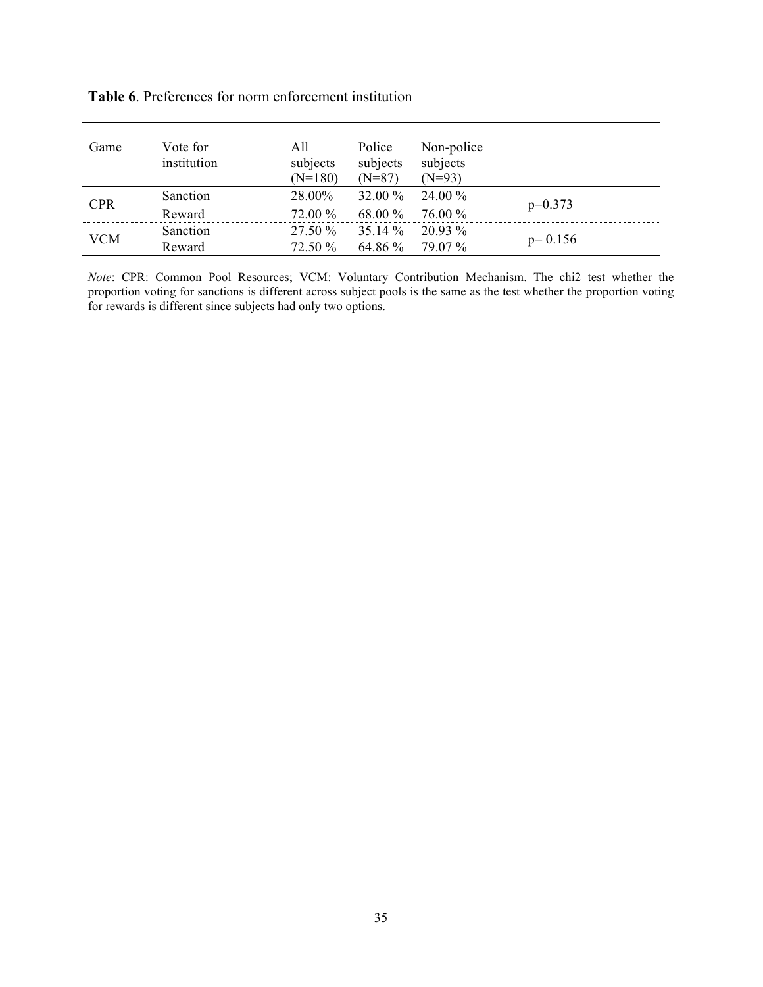|  |  | <b>Table 6.</b> Preferences for norm enforcement institution |  |
|--|--|--------------------------------------------------------------|--|
|  |  |                                                              |  |

| Game       | Vote for<br>institution | All<br>subjects<br>$(N=180)$ | Police<br>subjects<br>$(N=87)$ | Non-police<br>subjects<br>$(N=93)$ |           |
|------------|-------------------------|------------------------------|--------------------------------|------------------------------------|-----------|
| <b>CPR</b> | Sanction                | 28.00%                       | 32.00 %                        | 24.00 %                            |           |
|            | Reward                  | 72.00 %                      | 68.00 %                        | 76.00 %                            | $p=0.373$ |
| <b>VCM</b> | Sanction                | 27.50 %                      | 35.14 %                        | $20.93\%$                          | $p=0.156$ |
|            | Reward                  | 72.50 %                      | 64.86 %                        | 79.07 %                            |           |

*Note*: CPR: Common Pool Resources; VCM: Voluntary Contribution Mechanism. The chi2 test whether the proportion voting for sanctions is different across subject pools is the same as the test whether the proportion voting for rewards is different since subjects had only two options.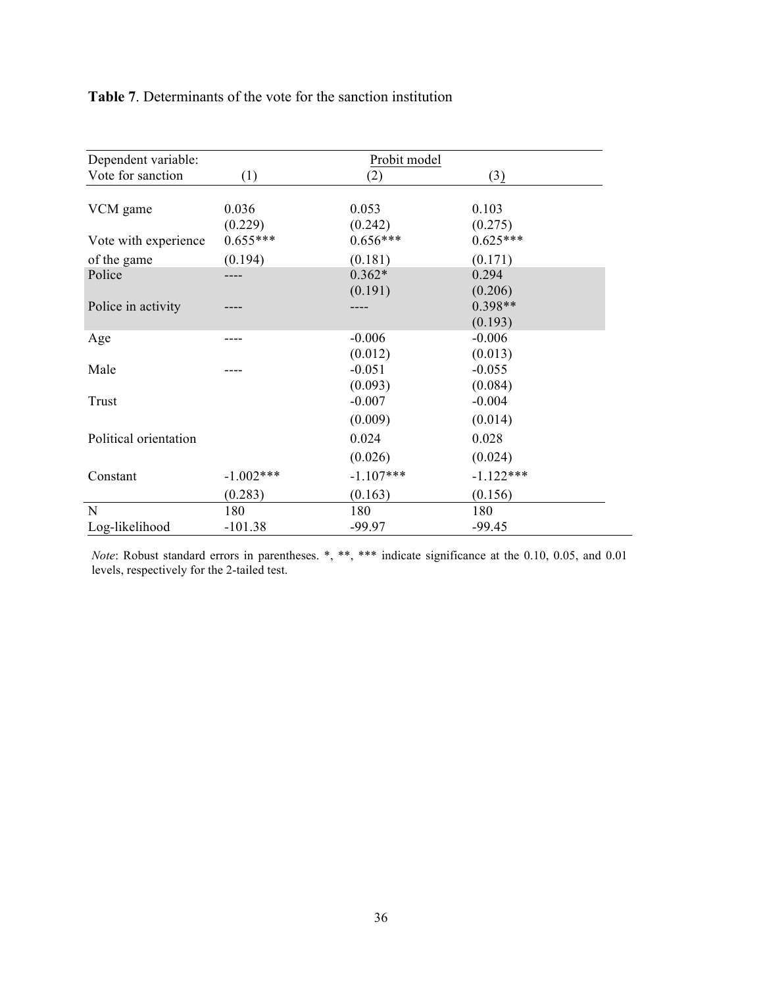#### **Table 7**. Determinants of the vote for the sanction institution

| Dependent variable:   |                  | Probit model        |                      |  |
|-----------------------|------------------|---------------------|----------------------|--|
| Vote for sanction     | (1)              | (2)                 | (3)                  |  |
| VCM game              | 0.036<br>(0.229) | 0.053<br>(0.242)    | 0.103<br>(0.275)     |  |
| Vote with experience  | $0.655***$       | $0.656***$          | $0.625***$           |  |
| of the game           | (0.194)          | (0.181)             | (0.171)              |  |
| Police                |                  | $0.362*$<br>(0.191) | 0.294<br>(0.206)     |  |
| Police in activity    |                  |                     | $0.398**$<br>(0.193) |  |
| Age                   |                  | $-0.006$<br>(0.012) | $-0.006$<br>(0.013)  |  |
| Male                  |                  | $-0.051$<br>(0.093) | $-0.055$<br>(0.084)  |  |
| Trust                 |                  | $-0.007$<br>(0.009) | $-0.004$<br>(0.014)  |  |
| Political orientation |                  | 0.024               | 0.028                |  |
|                       |                  | (0.026)             | (0.024)              |  |
| Constant              | $-1.002***$      | $-1.107***$         | $-1.122***$          |  |
|                       | (0.283)          | (0.163)             | (0.156)              |  |
| N                     | 180              | 180                 | 180                  |  |
| Log-likelihood        | $-101.38$        | -99.97              | $-99.45$             |  |

*Note*: Robust standard errors in parentheses. \*, \*\*, \*\*\* indicate significance at the 0.10, 0.05, and 0.01 levels, respectively for the 2-tailed test.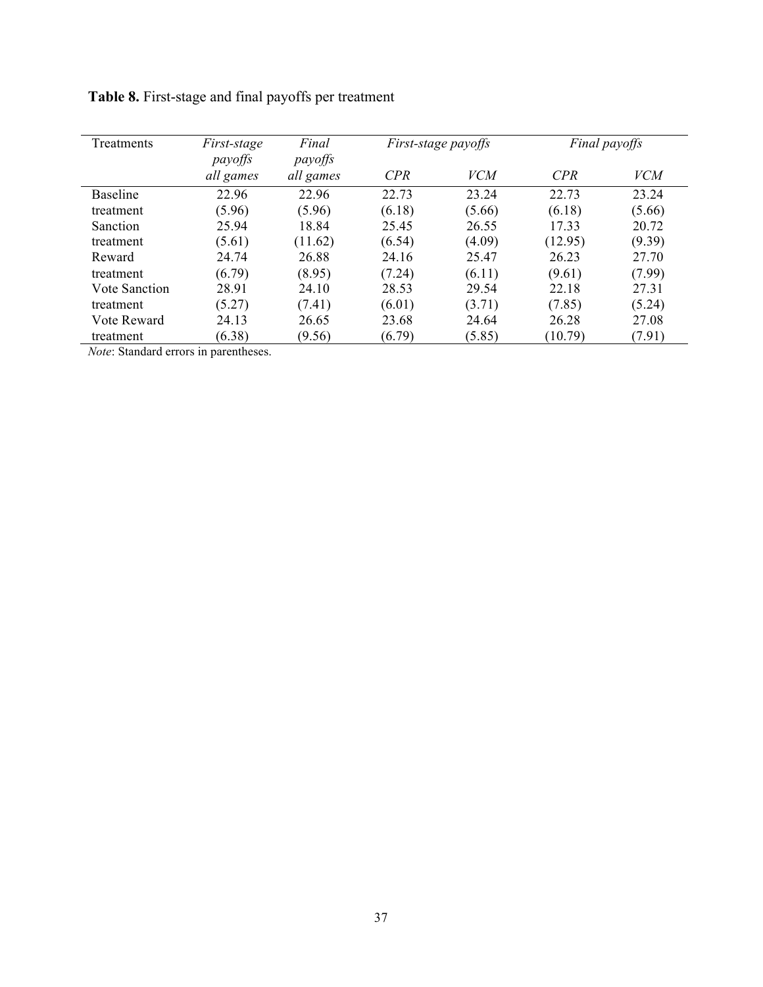| <b>Treatments</b>    | First-stage<br>payoffs | Final<br>payoffs |            | First-stage payoffs |         | Final payoffs |
|----------------------|------------------------|------------------|------------|---------------------|---------|---------------|
|                      | all games              | all games        | <b>CPR</b> | <i>VCM</i>          | CPR     | <i>VCM</i>    |
| <b>Baseline</b>      | 22.96                  | 22.96            | 22.73      | 23.24               | 22.73   | 23.24         |
| treatment            | (5.96)                 | (5.96)           | (6.18)     | (5.66)              | (6.18)  | (5.66)        |
| Sanction             | 25.94                  | 18.84            | 25.45      | 26.55               | 17.33   | 20.72         |
| treatment            | (5.61)                 | (11.62)          | (6.54)     | (4.09)              | (12.95) | (9.39)        |
| Reward               | 24.74                  | 26.88            | 24.16      | 25.47               | 26.23   | 27.70         |
| treatment            | (6.79)                 | (8.95)           | (7.24)     | (6.11)              | (9.61)  | (7.99)        |
| <b>Vote Sanction</b> | 28.91                  | 24.10            | 28.53      | 29.54               | 22.18   | 27.31         |
| treatment            | (5.27)                 | (7.41)           | (6.01)     | (3.71)              | (7.85)  | (5.24)        |
| Vote Reward          | 24.13                  | 26.65            | 23.68      | 24.64               | 26.28   | 27.08         |
| treatment            | (6.38)                 | (9.56)           | (6.79)     | (5.85)              | (10.79) | (7.91)        |

**Table 8.** First-stage and final payoffs per treatment

*Note*: Standard errors in parentheses.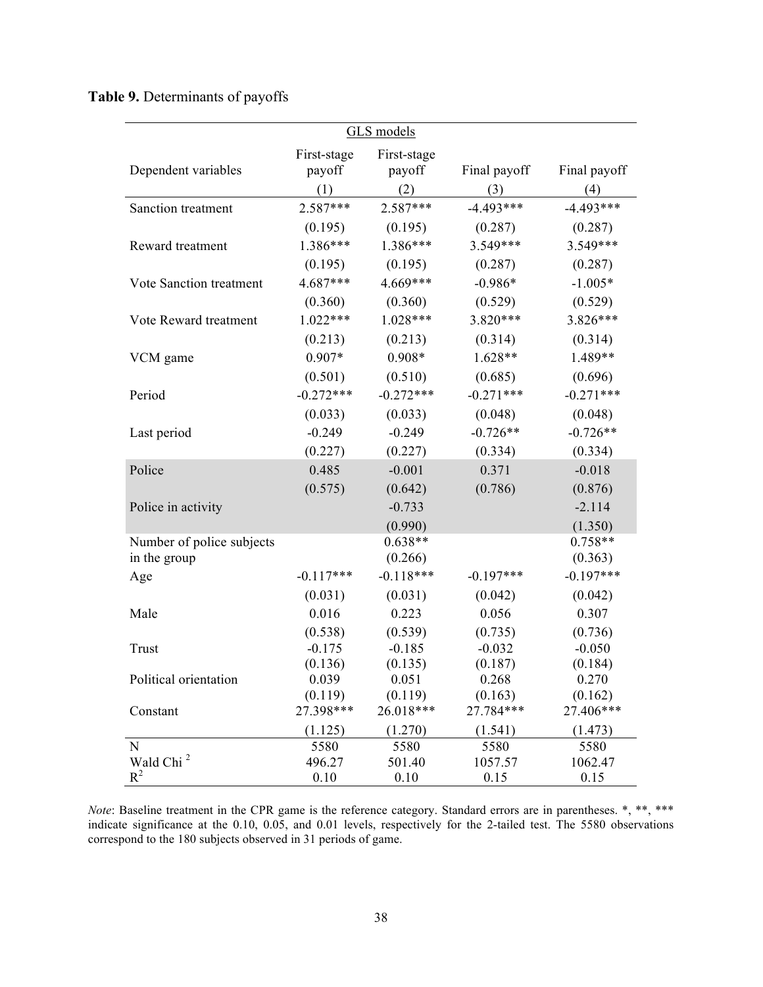#### **Table 9.** Determinants of payoffs

|                                |                     | GLS models          |                     |                     |
|--------------------------------|---------------------|---------------------|---------------------|---------------------|
|                                | First-stage         | First-stage         |                     |                     |
| Dependent variables            | payoff              | payoff              | Final payoff        | Final payoff        |
|                                | (1)                 | (2)                 | (3)                 | (4)                 |
| Sanction treatment             | 2.587***            | 2.587***            | $-4.493***$         | $-4.493***$         |
|                                | (0.195)             | (0.195)             | (0.287)             | (0.287)             |
| Reward treatment               | $1.386***$          | 1.386***            | 3.549***            | 3.549***            |
|                                | (0.195)             | (0.195)             | (0.287)             | (0.287)             |
| Vote Sanction treatment        | $4.687***$          | $4.669***$          | $-0.986*$           | $-1.005*$           |
|                                | (0.360)             | (0.360)             | (0.529)             | (0.529)             |
| Vote Reward treatment          | $1.022***$          | $1.028***$          | $3.820***$          | $3.826***$          |
|                                | (0.213)             | (0.213)             | (0.314)             | (0.314)             |
| VCM game                       | $0.907*$            | $0.908*$            | $1.628**$           | 1.489**             |
|                                | (0.501)             | (0.510)             | (0.685)             | (0.696)             |
| Period                         | $-0.272***$         | $-0.272***$         | $-0.271***$         | $-0.271***$         |
|                                | (0.033)             | (0.033)             | (0.048)             | (0.048)             |
| Last period                    | $-0.249$            | $-0.249$            | $-0.726**$          | $-0.726**$          |
|                                | (0.227)             | (0.227)             | (0.334)             | (0.334)             |
| Police                         | 0.485               | $-0.001$            | 0.371               | $-0.018$            |
|                                | (0.575)             | (0.642)             | (0.786)             | (0.876)             |
| Police in activity             |                     | $-0.733$            |                     | $-2.114$            |
|                                |                     | (0.990)             |                     | (1.350)             |
| Number of police subjects      |                     | $0.638**$           |                     | $0.758**$           |
| in the group                   |                     | (0.266)             |                     | (0.363)             |
| Age                            | $-0.117***$         | $-0.118***$         | $-0.197***$         | $-0.197***$         |
|                                | (0.031)             | (0.031)             | (0.042)             | (0.042)             |
| Male                           | 0.016               | 0.223               | 0.056               | 0.307               |
|                                | (0.538)             | (0.539)             | (0.735)             | (0.736)             |
| Trust                          | $-0.175$<br>(0.136) | $-0.185$<br>(0.135) | $-0.032$<br>(0.187) | $-0.050$<br>(0.184) |
| Political orientation          | 0.039               | 0.051               | 0.268               | 0.270               |
|                                | (0.119)             | (0.119)             | (0.163)             | (0.162)             |
| Constant                       | 27.398***           | 26.018***           | 27.784***           | 27.406***           |
|                                | (1.125)             | (1.270)             | (1.541)             | (1.473)             |
| $\mathbf N$                    | 5580                | 5580                | 5580                | 5580                |
| Wald Chi <sup>2</sup><br>$R^2$ | 496.27              | 501.40              | 1057.57             | 1062.47             |
|                                | 0.10                | 0.10                | 0.15                | 0.15                |

*Note*: Baseline treatment in the CPR game is the reference category. Standard errors are in parentheses. \*, \*\*, \*\*\* indicate significance at the 0.10, 0.05, and 0.01 levels, respectively for the 2-tailed test. The 5580 observations correspond to the 180 subjects observed in 31 periods of game.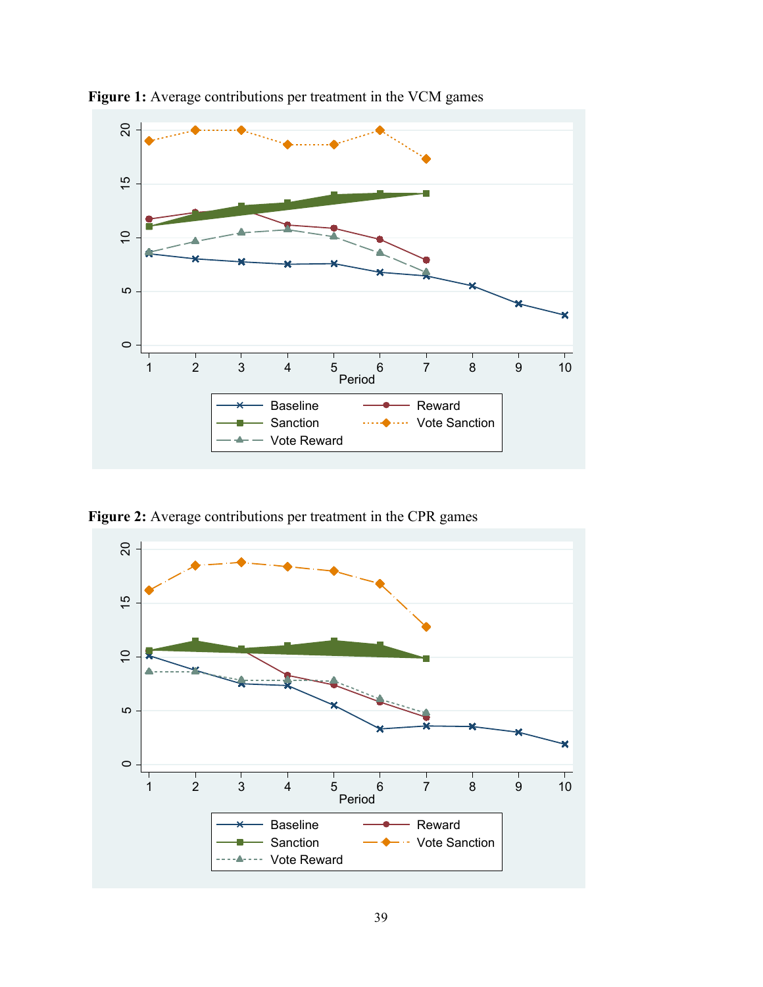

**Figure 1:** Average contributions per treatment in the VCM games

Figure 2: Average contributions per treatment in the CPR games

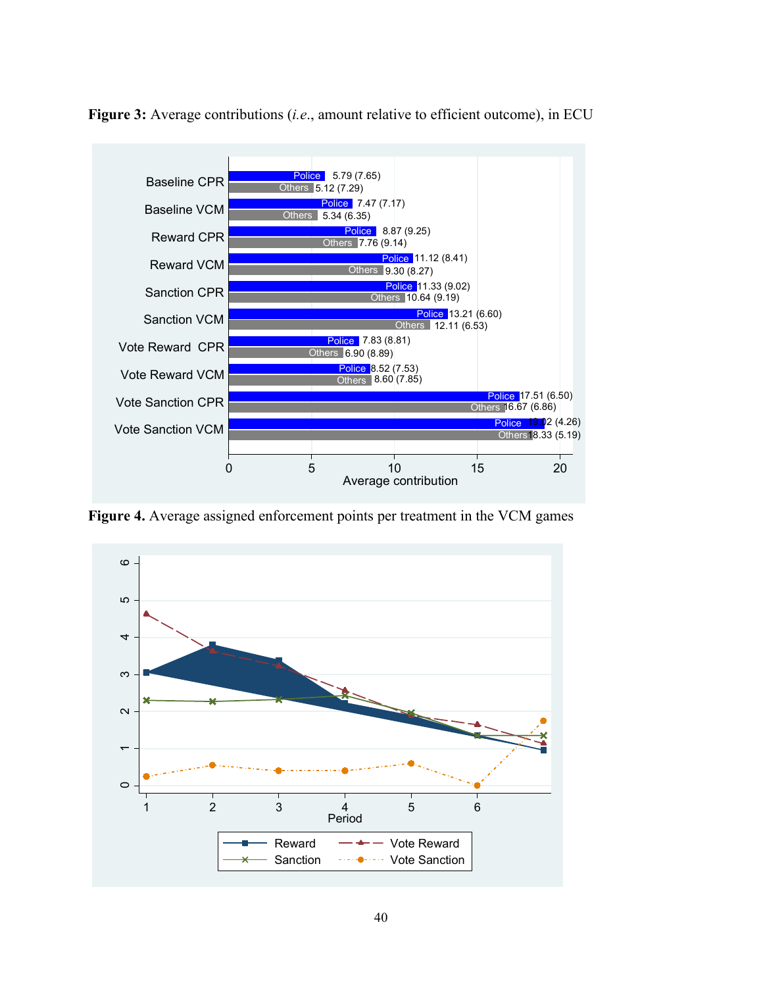

**Figure 3:** Average contributions (*i.e*., amount relative to efficient outcome), in ECU

**Figure 4.** Average assigned enforcement points per treatment in the VCM games